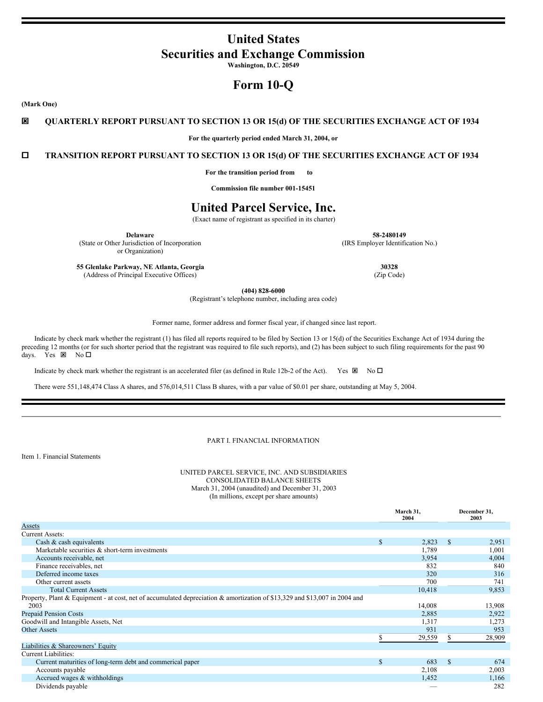# **United States Securities and Exchange Commission**

**Washington, D.C. 20549**

# **Form 10-Q**

**(Mark One)**

# ý **QUARTERLY REPORT PURSUANT TO SECTION 13 OR 15(d) OF THE SECURITIES EXCHANGE ACT OF 1934**

**For the quarterly period ended March 31, 2004, or**

o **TRANSITION REPORT PURSUANT TO SECTION 13 OR 15(d) OF THE SECURITIES EXCHANGE ACT OF 1934**

**For the transition period from to**

**Commission file number 001-15451**

# **United Parcel Service, Inc.**

(Exact name of registrant as specified in its charter)

(State or Other Jurisdiction of Incorporation or Organization)

**Delaware 58-2480149** (IRS Employer Identification No.)

**55 Glenlake Parkway, NE Atlanta, Georgia 30328** (Address of Principal Executive Offices) (Zip Code)

**(404) 828-6000**

(Registrant's telephone number, including area code)

Former name, former address and former fiscal year, if changed since last report.

Indicate by check mark whether the registrant (1) has filed all reports required to be filed by Section 13 or 15(d) of the Securities Exchange Act of 1934 during the preceding 12 months (or for such shorter period that the registrant was required to file such reports), and (2) has been subject to such filing requirements for the past 90 days. Yes  $\boxtimes$  No  $\square$ 

Indicate by check mark whether the registrant is an accelerated filer (as defined in Rule 12b-2 of the Act). Yes  $\boxtimes$  No  $\square$ 

There were 551,148,474 Class A shares, and 576,014,511 Class B shares, with a par value of \$0.01 per share, outstanding at May 5, 2004.

# PART I. FINANCIAL INFORMATION

Item 1. Financial Statements

UNITED PARCEL SERVICE, INC. AND SUBSIDIARIES CONSOLIDATED BALANCE SHEETS March 31, 2004 (unaudited) and December 31, 2003 (In millions, except per share amounts)

|                                                                                                                            |     | March 31,<br>2004 |               | December 31,<br>2003 |
|----------------------------------------------------------------------------------------------------------------------------|-----|-------------------|---------------|----------------------|
| <b>Assets</b>                                                                                                              |     |                   |               |                      |
| <b>Current Assets:</b>                                                                                                     |     |                   |               |                      |
| Cash & cash equivalents                                                                                                    | S   | 2,823             | -S            | 2,951                |
| Marketable securities & short-term investments                                                                             |     | 1,789             |               | 1,001                |
| Accounts receivable, net                                                                                                   |     | 3,954             |               | 4,004                |
| Finance receivables, net                                                                                                   |     | 832               |               | 840                  |
| Deferred income taxes                                                                                                      |     | 320               |               | 316                  |
| Other current assets                                                                                                       |     | 700               |               | 741                  |
| <b>Total Current Assets</b>                                                                                                |     | 10,418            |               | 9,853                |
| Property, Plant & Equipment - at cost, net of accumulated depreciation & amortization of \$13,329 and \$13,007 in 2004 and |     |                   |               |                      |
| 2003                                                                                                                       |     | 14,008            |               | 13,908               |
| <b>Prepaid Pension Costs</b>                                                                                               |     | 2,885             |               | 2,922                |
| Goodwill and Intangible Assets, Net                                                                                        |     | 1,317             |               | 1,273                |
| <b>Other Assets</b>                                                                                                        |     | 931               |               | 953                  |
|                                                                                                                            |     | 29,559            |               | 28,909               |
| Liabilities & Shareowners' Equity                                                                                          |     |                   |               |                      |
| Current Liabilities:                                                                                                       |     |                   |               |                      |
| Current maturities of long-term debt and commerical paper                                                                  | \$. | 683               | $\mathcal{S}$ | 674                  |
| Accounts payable                                                                                                           |     | 2,108             |               | 2,003                |
| Accrued wages & withholdings                                                                                               |     | 1,452             |               | 1,166                |
| Dividends payable                                                                                                          |     |                   |               | 282                  |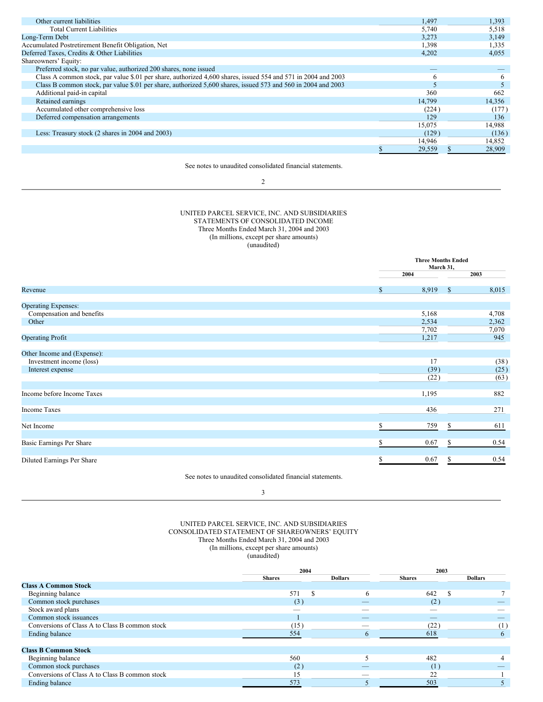| Other current liabilities                                                                                     | 1,497  | 1,393  |
|---------------------------------------------------------------------------------------------------------------|--------|--------|
| <b>Total Current Liabilities</b>                                                                              | 5,740  | 5,518  |
| Long-Term Debt                                                                                                | 3,273  | 3,149  |
| Accumulated Postretirement Benefit Obligation, Net                                                            | 1,398  | 1,335  |
| Deferred Taxes, Credits & Other Liabilities                                                                   | 4,202  | 4,055  |
| Shareowners' Equity:                                                                                          |        |        |
| Preferred stock, no par value, authorized 200 shares, none issued                                             |        |        |
| Class A common stock, par value \$.01 per share, authorized 4,600 shares, issued 554 and 571 in 2004 and 2003 | O.     | 6      |
| Class B common stock, par value \$.01 per share, authorized 5,600 shares, issued 573 and 560 in 2004 and 2003 |        |        |
| Additional paid-in capital                                                                                    | 360    | 662    |
| Retained earnings                                                                                             | 14,799 | 14,356 |
| Accumulated other comprehensive loss                                                                          | (224)  | (177)  |
| Deferred compensation arrangements                                                                            | 129    | 136    |
|                                                                                                               | 15,075 | 14.988 |
| Less: Treasury stock (2 shares in 2004 and 2003)                                                              | (129)  | (136)  |
|                                                                                                               | 14.946 | 14,852 |
|                                                                                                               | 29,559 | 28,909 |

See notes to unaudited consolidated financial statements.

#### 2

## UNITED PARCEL SERVICE, INC. AND SUBSIDIARIES STATEMENTS OF CONSOLIDATED INCOME Three Months Ended March 31, 2004 and 2003 (In millions, except per share amounts) (unaudited)

|                             | <b>Three Months Ended</b><br>March 31, |       |    |       |
|-----------------------------|----------------------------------------|-------|----|-------|
|                             |                                        | 2004  |    | 2003  |
| Revenue                     | \$                                     | 8,919 | \$ | 8,015 |
| <b>Operating Expenses:</b>  |                                        |       |    |       |
| Compensation and benefits   |                                        | 5,168 |    | 4,708 |
| Other                       |                                        | 2,534 |    | 2,362 |
|                             |                                        | 7,702 |    | 7,070 |
| <b>Operating Profit</b>     |                                        | 1,217 |    | 945   |
| Other Income and (Expense): |                                        |       |    |       |
| Investment income (loss)    |                                        | 17    |    | (38)  |
| Interest expense            |                                        | (39)  |    | (25)  |
|                             |                                        | (22)  |    | (63)  |
| Income before Income Taxes  |                                        | 1,195 |    | 882   |
| <b>Income Taxes</b>         |                                        | 436   |    | 271   |
| Net Income                  |                                        | 759   | S. | 611   |
| Basic Earnings Per Share    |                                        | 0.67  | S. | 0.54  |
| Diluted Earnings Per Share  | S                                      | 0.67  | S  | 0.54  |

See notes to unaudited consolidated financial statements.

3

# UNITED PARCEL SERVICE, INC. AND SUBSIDIARIES CONSOLIDATED STATEMENT OF SHAREOWNERS' EQUITY Three Months Ended March 31, 2004 and 2003 (In millions, except per share amounts)

|                                                | 2004          |  |                | 2003          |  |                |
|------------------------------------------------|---------------|--|----------------|---------------|--|----------------|
|                                                | <b>Shares</b> |  | <b>Dollars</b> | <b>Shares</b> |  | <b>Dollars</b> |
| <b>Class A Common Stock</b>                    |               |  |                |               |  |                |
| Beginning balance                              | 571           |  | 6              | 642           |  |                |
| Common stock purchases                         | (3)           |  |                | (2)           |  |                |
| Stock award plans                              |               |  |                |               |  |                |
| Common stock issuances                         |               |  | __             | _             |  |                |
| Conversions of Class A to Class B common stock | (15)          |  |                | (22)          |  | (1)            |
| Ending balance                                 | 554           |  |                | 618           |  | $\sigma$       |
|                                                |               |  |                |               |  |                |
| <b>Class B Common Stock</b>                    |               |  |                |               |  |                |
| Beginning balance                              | 560           |  |                | 482           |  |                |
| Common stock purchases                         | (2)           |  |                | (1            |  |                |
| Conversions of Class A to Class B common stock | 15            |  |                | 22            |  |                |
| Ending balance                                 | 573           |  |                | 503           |  |                |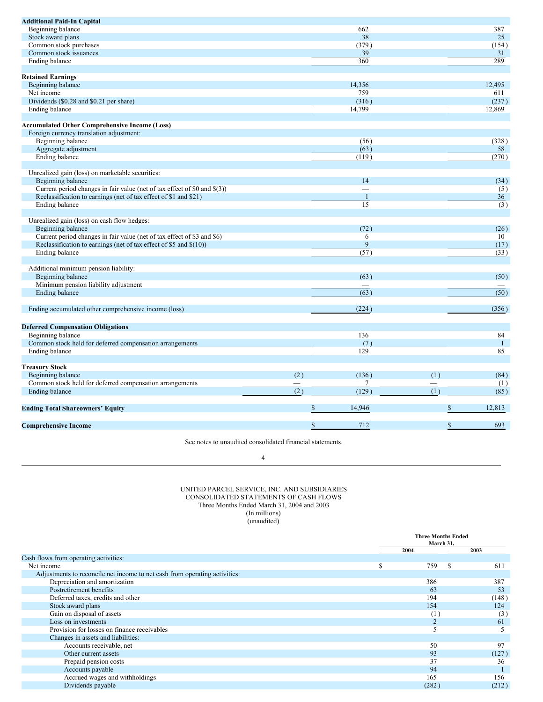| <b>Additional Paid-In Capital</b>                                         |                  |                   |                |                   |
|---------------------------------------------------------------------------|------------------|-------------------|----------------|-------------------|
| Beginning balance                                                         |                  | 662               |                | 387               |
| Stock award plans                                                         |                  | 38                |                | 25                |
| Common stock purchases                                                    |                  | (379)             |                | (154)             |
| Common stock issuances                                                    |                  | 39                |                | 31                |
| Ending balance                                                            |                  | 360               |                | 289               |
|                                                                           |                  |                   |                |                   |
| <b>Retained Earnings</b>                                                  |                  |                   |                |                   |
| Beginning balance                                                         |                  | 14,356            |                | 12,495            |
| Net income                                                                |                  | 759               |                | 611               |
| Dividends (\$0.28 and \$0.21 per share)                                   |                  | (316)             |                | (237)             |
| Ending balance                                                            |                  | 14,799            |                | 12.869            |
|                                                                           |                  |                   |                |                   |
| <b>Accumulated Other Comprehensive Income (Loss)</b>                      |                  |                   |                |                   |
| Foreign currency translation adjustment:                                  |                  |                   |                |                   |
| Beginning balance                                                         |                  | (56)              |                | (328)             |
| Aggregate adjustment                                                      |                  | (63)              |                | 58                |
| Ending balance                                                            |                  | (119)             |                | (270)             |
|                                                                           |                  |                   |                |                   |
| Unrealized gain (loss) on marketable securities:                          |                  |                   |                |                   |
| Beginning balance                                                         |                  | 14                |                | (34)              |
| Current period changes in fair value (net of tax effect of \$0 and \$(3)) |                  |                   |                | (5)               |
| Reclassification to earnings (net of tax effect of \$1 and \$21)          |                  | $\mathbf{1}$      |                | 36                |
| Ending balance                                                            |                  | 15                |                | $\overline{3})$   |
|                                                                           |                  |                   |                |                   |
| Unrealized gain (loss) on cash flow hedges:                               |                  |                   |                |                   |
| Beginning balance                                                         |                  | (72)              |                | (26)              |
| Current period changes in fair value (net of tax effect of \$3 and \$6)   |                  | 6                 |                | 10                |
| Reclassification to earnings (net of tax effect of \$5 and \$(10))        |                  | 9                 |                | (17)              |
| <b>Ending balance</b>                                                     |                  | $\overline{(57)}$ |                | (33)              |
|                                                                           |                  |                   |                |                   |
| Additional minimum pension liability:                                     |                  |                   |                |                   |
| Beginning balance                                                         |                  | (63)              |                | (50)              |
| Minimum pension liability adjustment                                      |                  |                   |                |                   |
| <b>Ending balance</b>                                                     |                  | (63)              |                | $\overline{(50)}$ |
|                                                                           |                  |                   |                |                   |
| Ending accumulated other comprehensive income (loss)                      |                  | (224)             |                | (356)             |
|                                                                           |                  |                   |                |                   |
| <b>Deferred Compensation Obligations</b>                                  |                  |                   |                |                   |
| Beginning balance                                                         |                  | 136               |                | 84                |
| Common stock held for deferred compensation arrangements                  |                  | (7)               |                | $\mathbf{1}$      |
| Ending balance                                                            |                  | 129               |                | 85                |
|                                                                           |                  |                   |                |                   |
| <b>Treasury Stock</b>                                                     |                  |                   |                |                   |
| Beginning balance                                                         | (2)              | (136)             | (1)            | (84)              |
| Common stock held for deferred compensation arrangements                  |                  | 7                 |                | (1)               |
| Ending balance                                                            | $\overline{(2)}$ | (129)             | $\overline{1}$ | (85)              |
|                                                                           |                  |                   |                |                   |
| <b>Ending Total Shareowners' Equity</b>                                   | \$               | 14,946            |                | 12,813<br>\$      |
|                                                                           |                  |                   |                |                   |
| <b>Comprehensive Income</b>                                               | \$               | 712               |                | 693<br>\$         |
|                                                                           |                  |                   |                |                   |

See notes to unaudited consolidated financial statements.

4

#### UNITED PARCEL SERVICE, INC. AND SUBSIDIARIES CONSOLIDATED STATEMENTS OF CASH FLOWS Three Months Ended March 31, 2004 and 2003 (In millions) (unaudited)

|                                                                            |      | <b>Three Months Ended</b><br>March 31, |       |  |
|----------------------------------------------------------------------------|------|----------------------------------------|-------|--|
|                                                                            | 2004 |                                        | 2003  |  |
| Cash flows from operating activities:                                      |      |                                        |       |  |
| Net income                                                                 |      | <b>S</b><br>759                        | 611   |  |
| Adjustments to reconcile net income to net cash from operating activities: |      |                                        |       |  |
| Depreciation and amortization                                              |      | 386                                    | 387   |  |
| Postretirement benefits                                                    |      | 63                                     | 53    |  |
| Deferred taxes, credits and other                                          |      | 194                                    | (148) |  |
| Stock award plans                                                          |      | 154                                    | 124   |  |
| Gain on disposal of assets                                                 |      | (1)                                    | (3)   |  |
| Loss on investments                                                        |      |                                        | 61    |  |
| Provision for losses on finance receivables                                |      |                                        | 5     |  |
| Changes in assets and liabilities:                                         |      |                                        |       |  |
| Accounts receivable, net                                                   |      | 50                                     | 97    |  |
| Other current assets                                                       |      | 93                                     | (127) |  |
| Prepaid pension costs                                                      |      | 37                                     | 36    |  |
| Accounts payable                                                           |      | 94                                     |       |  |
| Accrued wages and withholdings                                             |      | 165                                    | 156   |  |
| Dividends payable                                                          |      | (282)                                  | (212) |  |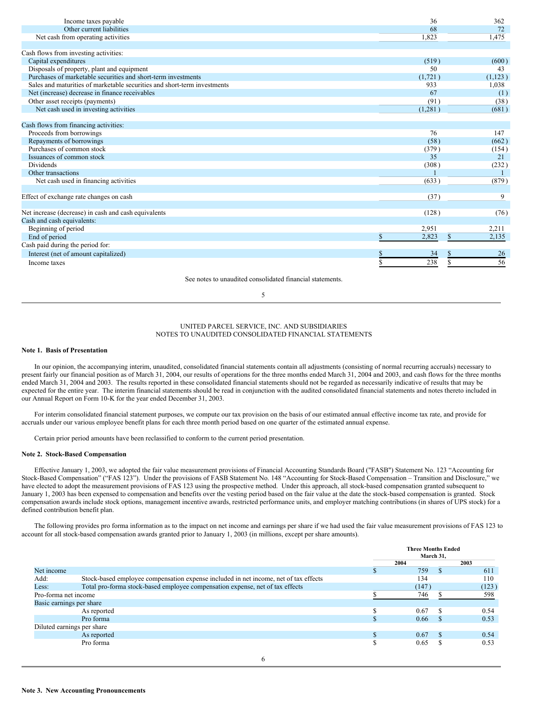| Income taxes payable                                                     | 36      | 362               |
|--------------------------------------------------------------------------|---------|-------------------|
| Other current liabilities                                                | 68      | 72                |
| Net cash from operating activities                                       | 1.823   | 1,475             |
|                                                                          |         |                   |
| Cash flows from investing activities:                                    |         |                   |
| Capital expenditures                                                     | (519)   | (600)             |
| Disposals of property, plant and equipment                               | 50      | 43                |
| Purchases of marketable securities and short-term investments            | (1,721) | (1,123)           |
| Sales and maturities of marketable securities and short-term investments | 933     | 1,038             |
| Net (increase) decrease in finance receivables                           | 67      | (1)               |
| Other asset receipts (payments)                                          | (91)    | (38)              |
| Net cash used in investing activities                                    | (1,281) | (681)             |
|                                                                          |         |                   |
| Cash flows from financing activities:                                    |         |                   |
| Proceeds from borrowings                                                 | 76      | 147               |
| Repayments of borrowings                                                 | (58)    | (662)             |
| Purchases of common stock                                                | (379)   | (154)             |
| Issuances of common stock                                                | 35      | 21                |
| <b>Dividends</b>                                                         | (308)   | (232)             |
| Other transactions                                                       |         |                   |
| Net cash used in financing activities                                    | (633)   | (879)             |
|                                                                          |         |                   |
| Effect of exchange rate changes on cash                                  | (37)    | 9                 |
|                                                                          |         |                   |
| Net increase (decrease) in cash and cash equivalents                     | (128)   | (76)              |
| Cash and cash equivalents:                                               |         |                   |
| Beginning of period                                                      | 2,951   | 2,211             |
| End of period                                                            | 2,823   | 2,135<br><b>S</b> |
| Cash paid during the period for:                                         |         |                   |
| Interest (net of amount capitalized)                                     | 34      | 26                |
| Income taxes                                                             | 238     | 56                |

See notes to unaudited consolidated financial statements.

#### 5

#### UNITED PARCEL SERVICE, INC. AND SUBSIDIARIES NOTES TO UNAUDITED CONSOLIDATED FINANCIAL STATEMENTS

#### **Note 1. Basis of Presentation**

In our opinion, the accompanying interim, unaudited, consolidated financial statements contain all adjustments (consisting of normal recurring accruals) necessary to present fairly our financial position as of March 31, 2004, our results of operations for the three months ended March 31, 2004 and 2003, and cash flows for the three months ended March 31, 2004 and 2003. The results reported in these consolidated financial statements should not be regarded as necessarily indicative of results that may be expected for the entire year. The interim financial statements should be read in conjunction with the audited consolidated financial statements and notes thereto included in our Annual Report on Form 10-K for the year ended December 31, 2003.

For interim consolidated financial statement purposes, we compute our tax provision on the basis of our estimated annual effective income tax rate, and provide for accruals under our various employee benefit plans for each three month period based on one quarter of the estimated annual expense.

Certain prior period amounts have been reclassified to conform to the current period presentation.

# **Note 2. Stock-Based Compensation**

Effective January 1, 2003, we adopted the fair value measurement provisions of Financial Accounting Standards Board ("FASB") Statement No. 123 "Accounting for Stock-Based Compensation" ("FAS 123"). Under the provisions of FASB Statement No. 148 "Accounting for Stock-Based Compensation – Transition and Disclosure," we have elected to adopt the measurement provisions of FAS 123 using the prospective method. Under this approach, all stock-based compensation granted subsequent to January 1, 2003 has been expensed to compensation and benefits over the vesting period based on the fair value at the date the stock-based compensation is granted. Stock compensation awards include stock options, management incentive awards, restricted performance units, and employer matching contributions (in shares of UPS stock) for a defined contribution benefit plan.

The following provides pro forma information as to the impact on net income and earnings per share if we had used the fair value measurement provisions of FAS 123 to account for all stock-based compensation awards granted prior to January 1, 2003 (in millions, except per share amounts).

|                          |                                                                                      | <b>Three Months Ended</b> |       |               |       |
|--------------------------|--------------------------------------------------------------------------------------|---------------------------|-------|---------------|-------|
|                          |                                                                                      | March 31.                 |       |               |       |
|                          |                                                                                      |                           | 2004  |               | 2003  |
| Net income               |                                                                                      |                           | 759   | ж             | 611   |
| Add:                     | Stock-based employee compensation expense included in net income, net of tax effects |                           | 134   |               | 110   |
| Less:                    | Total pro-forma stock-based employee compensation expense, net of tax effects        |                           | (147) |               | (123) |
| Pro-forma net income     |                                                                                      |                           | 746   |               | 598   |
| Basic earnings per share |                                                                                      |                           |       |               |       |
|                          | As reported                                                                          |                           | 0.67  | S             | 0.54  |
|                          | Pro forma                                                                            |                           | 0.66  | Ж             | 0.53  |
|                          | Diluted earnings per share                                                           |                           |       |               |       |
|                          | As reported                                                                          |                           | 0.67  | <sup>\$</sup> | 0.54  |
|                          | Pro forma                                                                            |                           | 0.65  | S             | 0.53  |
|                          |                                                                                      |                           |       |               |       |

6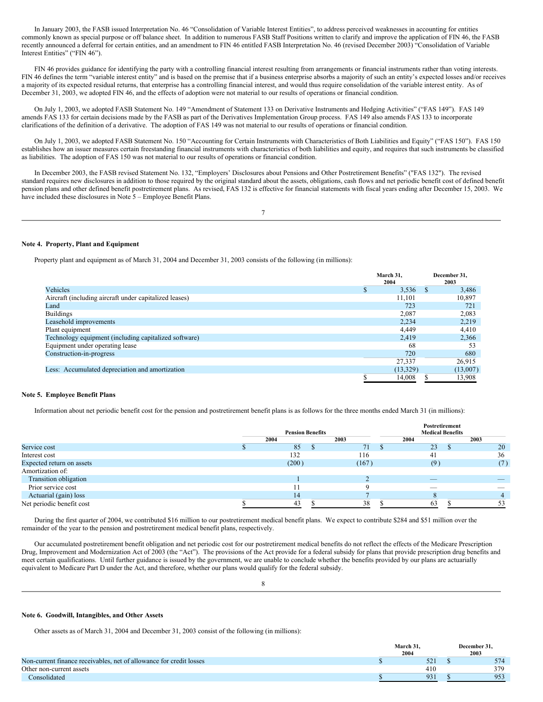In January 2003, the FASB issued Interpretation No. 46 "Consolidation of Variable Interest Entities", to address perceived weaknesses in accounting for entities commonly known as special purpose or off balance sheet. In addition to numerous FASB Staff Positions written to clarify and improve the application of FIN 46, the FASB recently announced a deferral for certain entities, and an amendment to FIN 46 entitled FASB Interpretation No. 46 (revised December 2003) "Consolidation of Variable Interest Entities" ("FIN 46").

FIN 46 provides guidance for identifying the party with a controlling financial interest resulting from arrangements or financial instruments rather than voting interests. FIN 46 defines the term "variable interest entity" and is based on the premise that if a business enterprise absorbs a majority of such an entity's expected losses and/or receives a majority of its expected residual returns, that enterprise has a controlling financial interest, and would thus require consolidation of the variable interest entity. As of December 31, 2003, we adopted FIN 46, and the effects of adoption were not material to our results of operations or financial condition.

On July 1, 2003, we adopted FASB Statement No. 149 "Amendment of Statement 133 on Derivative Instruments and Hedging Activities" ("FAS 149"). FAS 149 amends FAS 133 for certain decisions made by the FASB as part of the Derivatives Implementation Group process. FAS 149 also amends FAS 133 to incorporate clarifications of the definition of a derivative. The adoption of FAS 149 was not material to our results of operations or financial condition.

On July 1, 2003, we adopted FASB Statement No. 150 "Accounting for Certain Instruments with Characteristics of Both Liabilities and Equity" ("FAS 150"). FAS 150 establishes how an issuer measures certain freestanding financial instruments with characteristics of both liabilities and equity, and requires that such instruments be classified as liabilities. The adoption of FAS 150 was not material to our results of operations or financial condition.

In December 2003, the FASB revised Statement No. 132, "Employers' Disclosures about Pensions and Other Postretirement Benefits" ("FAS 132"). The revised standard requires new disclosures in addition to those required by the original standard about the assets, obligations, cash flows and net periodic benefit cost of defined benefit pension plans and other defined benefit postretirement plans. As revised, FAS 132 is effective for financial statements with fiscal years ending after December 15, 2003. We have included these disclosures in Note  $5$  – Employee Benefit Plans.

### 7

#### **Note 4. Property, Plant and Equipment**

Property plant and equipment as of March 31, 2004 and December 31, 2003 consists of the following (in millions):

|                                                        | March 31,<br>2004 | December 31,<br>2003 |
|--------------------------------------------------------|-------------------|----------------------|
| Vehicles                                               | 3.536             | 3,486                |
| Aircraft (including aircraft under capitalized leases) | 11,101            | 10,897               |
| Land                                                   | 723               | 721                  |
| <b>Buildings</b>                                       | 2,087             | 2,083                |
| Leasehold improvements                                 | 2.234             | 2,219                |
| Plant equipment                                        | 4.449             | 4,410                |
| Technology equipment (including capitalized software)  | 2.419             | 2,366                |
| Equipment under operating lease                        | 68                | 53                   |
| Construction-in-progress                               | 720               | 680                  |
|                                                        | 27,337            | 26,915               |
| Less: Accumulated depreciation and amortization        | (13,329)          | (13,007)             |
|                                                        | 14.008            | 13.908               |

#### **Note 5. Employee Benefit Plans**

Information about net periodic benefit cost for the pension and postretirement benefit plans is as follows for the three months ended March 31 (in millions):

|                           |                         |       |                         | Postretirement |      |
|---------------------------|-------------------------|-------|-------------------------|----------------|------|
|                           | <b>Pension Benefits</b> |       | <b>Medical Benefits</b> |                |      |
|                           | 2004                    | 2003  |                         | 2004           | 2003 |
| Service cost              | 85                      | 71    |                         | 23             | 20   |
| Interest cost             | 132                     | 116   |                         | 41             | 36   |
| Expected return on assets | (200)                   | (167) |                         | (9)            | (7)  |
| Amortization of:          |                         |       |                         |                |      |
| Transition obligation     |                         |       |                         | _              |      |
| Prior service cost        |                         |       |                         |                |      |
| Actuarial (gain) loss     | 14                      |       |                         |                |      |
| Net periodic benefit cost | 43                      | 38    |                         | 63             |      |

During the first quarter of 2004, we contributed \$16 million to our postretirement medical benefit plans. We expect to contribute \$284 and \$51 million over the remainder of the year to the pension and postretirement medical benefit plans, respectively.

Our accumulated postretirement benefit obligation and net periodic cost for our postretirement medical benefits do not reflect the effects of the Medicare Prescription Drug, Improvement and Modernization Act of 2003 (the "Act"). The provisions of the Act provide for a federal subsidy for plans that provide prescription drug benefits and meet certain qualifications. Until further guidance is issued by the government, we are unable to conclude whether the benefits provided by our plans are actuarially equivalent to Medicare Part D under the Act, and therefore, whether our plans would qualify for the federal subsidy.

8

#### **Note 6. Goodwill, Intangibles, and Other Assets**

Other assets as of March 31, 2004 and December 31, 2003 consist of the following (in millions):

|                                                                     | March 31.    | December 31. |  |  |
|---------------------------------------------------------------------|--------------|--------------|--|--|
|                                                                     | 2004         | 2003         |  |  |
| Non-current finance receivables, net of allowance for credit losses | $\sim$<br>υZ | 574          |  |  |
| Other non-current assets                                            | 410          | 379          |  |  |
| <b>Consolidated</b>                                                 | 93           | 953          |  |  |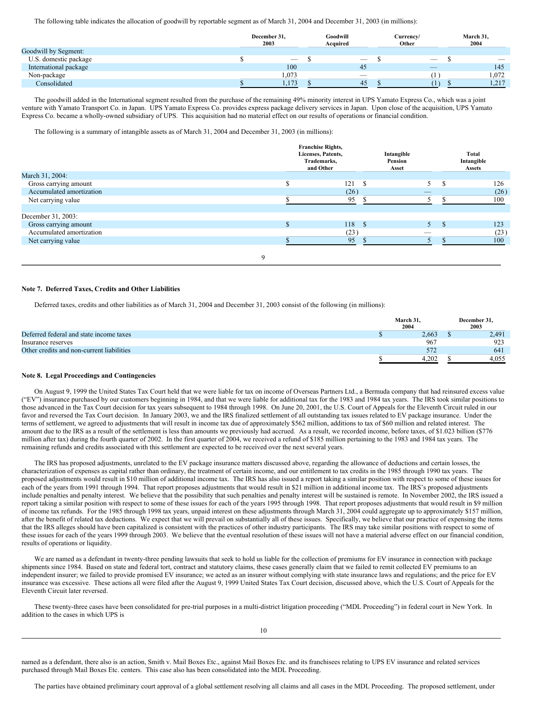The following table indicates the allocation of goodwill by reportable segment as of March 31, 2004 and December 31, 2003 (in millions):

|                       | December 31,<br>2003 | Goodwill<br>Acquired     | Currency/<br>Other       | March 31,<br>2004        |
|-----------------------|----------------------|--------------------------|--------------------------|--------------------------|
| Goodwill by Segment:  |                      |                          |                          |                          |
| U.S. domestic package | $\sim$               | $\overline{\phantom{a}}$ | $\overline{\phantom{a}}$ | $\overline{\phantom{a}}$ |
| International package | 100                  | 45                       | $\overline{\phantom{a}}$ | 145                      |
| Non-package           | 1,073                | -                        |                          | 1.072                    |
| Consolidated          | 173<br>1.172         | 45                       |                          | 217<br>1, 4              |

The goodwill added in the International segment resulted from the purchase of the remaining 49% minority interest in UPS Yamato Express Co., which was a joint venture with Yamato Transport Co. in Japan. UPS Yamato Express Co. provides express package delivery services in Japan. Upon close of the acquisition, UPS Yamato Express Co. became a wholly-owned subsidiary of UPS. This acquisition had no material effect on our results of operations or financial condition.

The following is a summary of intangible assets as of March 31, 2004 and December 31, 2003 (in millions):

|                          | <b>Franchise Rights,</b><br>Licenses, Patents,<br>Trademarks,<br>and Other |      | Intangible<br>Pension<br>Asset |                          | Total<br>Intangible<br><b>Assets</b> |      |  |
|--------------------------|----------------------------------------------------------------------------|------|--------------------------------|--------------------------|--------------------------------------|------|--|
| March 31, 2004:          |                                                                            |      |                                |                          |                                      |      |  |
| Gross carrying amount    |                                                                            | 121  |                                |                          | \$.                                  | 126  |  |
| Accumulated amortization |                                                                            | (26) |                                | $\overline{\phantom{a}}$ |                                      | (26) |  |
| Net carrying value       |                                                                            | 95   |                                |                          |                                      | 100  |  |
|                          |                                                                            |      |                                |                          |                                      |      |  |
| December 31, 2003:       |                                                                            |      |                                |                          |                                      |      |  |
| Gross carrying amount    |                                                                            | 118  | - \$                           | 5.                       | -8                                   | 123  |  |
| Accumulated amortization |                                                                            | (23) |                                | _                        |                                      | (23) |  |
| Net carrying value       |                                                                            | 95   |                                |                          |                                      | 100  |  |
| Q                        |                                                                            |      |                                |                          |                                      |      |  |

# **Note 7. Deferred Taxes, Credits and Other Liabilities**

Deferred taxes, credits and other liabilities as of March 31, 2004 and December 31, 2003 consist of the following (in millions):

|                                           | March 31,<br>2004 | December 31,<br>2003 |
|-------------------------------------------|-------------------|----------------------|
| Deferred federal and state income taxes   | 2.663             | 2.491                |
| Insurance reserves                        | 967               | 923                  |
| Other credits and non-current liabilities | 572               | 641                  |
|                                           | 4.202             | 4.055                |

# **Note 8. Legal Proceedings and Contingencies**

On August 9, 1999 the United States Tax Court held that we were liable for tax on income of Overseas Partners Ltd., a Bermuda company that had reinsured excess value ("EV") insurance purchased by our customers beginning in 1984, and that we were liable for additional tax for the 1983 and 1984 tax years. The IRS took similar positions to those advanced in the Tax Court decision for tax years subsequent to 1984 through 1998. On June 20, 2001, the U.S. Court of Appeals for the Eleventh Circuit ruled in our favor and reversed the Tax Court decision. In January 2003, we and the IRS finalized settlement of all outstanding tax issues related to EV package insurance. Under the terms of settlement, we agreed to adjustments that will result in income tax due of approximately \$562 million, additions to tax of \$60 million and related interest. The amount due to the IRS as a result of the settlement is less than amounts we previously had accrued. As a result, we recorded income, before taxes, of \$1.023 billion (\$776 million after tax) during the fourth quarter of 2002. In the first quarter of 2004, we received a refund of \$185 million pertaining to the 1983 and 1984 tax years. The remaining refunds and credits associated with this settlement are expected to be received over the next several years.

The IRS has proposed adjustments, unrelated to the EV package insurance matters discussed above, regarding the allowance of deductions and certain losses, the characterization of expenses as capital rather than ordinary, the treatment of certain income, and our entitlement to tax credits in the 1985 through 1990 tax years. The proposed adjustments would result in \$10 million of additional income tax. The IRS has also issued a report taking a similar position with respect to some of these issues for each of the years from 1991 through 1994. That report proposes adjustments that would result in \$21 million in additional income tax. The IRS's proposed adjustments include penalties and penalty interest. We believe that the possibility that such penalties and penalty interest will be sustained is remote. In November 2002, the IRS issued a report taking a similar position with respect to some of these issues for each of the years 1995 through 1998. That report proposes adjustments that would result in \$9 million of income tax refunds. For the 1985 through 1998 tax years, unpaid interest on these adjustments through March 31, 2004 could aggregate up to approximately \$157 million, after the benefit of related tax deductions. We expect that we will prevail on substantially all of these issues. Specifically, we believe that our practice of expensing the items that the IRS alleges should have been capitalized is consistent with the practices of other industry participants. The IRS may take similar positions with respect to some of these issues for each of the years 1999 through 2003. We believe that the eventual resolution of these issues will not have a material adverse effect on our financial condition, results of operations or liquidity.

We are named as a defendant in twenty-three pending lawsuits that seek to hold us liable for the collection of premiums for EV insurance in connection with package shipments since 1984. Based on state and federal tort, contract and statutory claims, these cases generally claim that we failed to remit collected EV premiums to an independent insurer; we failed to provide promised EV insurance; we acted as an insurer without complying with state insurance laws and regulations; and the price for EV insurance was excessive. These actions all were filed after the August 9, 1999 United States Tax Court decision, discussed above, which the U.S. Court of Appeals for the Eleventh Circuit later reversed.

These twenty-three cases have been consolidated for pre-trial purposes in a multi-district litigation proceeding ("MDL Proceeding") in federal court in New York. In addition to the cases in which UPS is

named as a defendant, there also is an action, Smith v. Mail Boxes Etc., against Mail Boxes Etc. and its franchisees relating to UPS EV insurance and related services purchased through Mail Boxes Etc. centers. This case also has been consolidated into the MDL Proceeding.

The parties have obtained preliminary court approval of a global settlement resolving all claims and all cases in the MDL Proceeding. The proposed settlement, under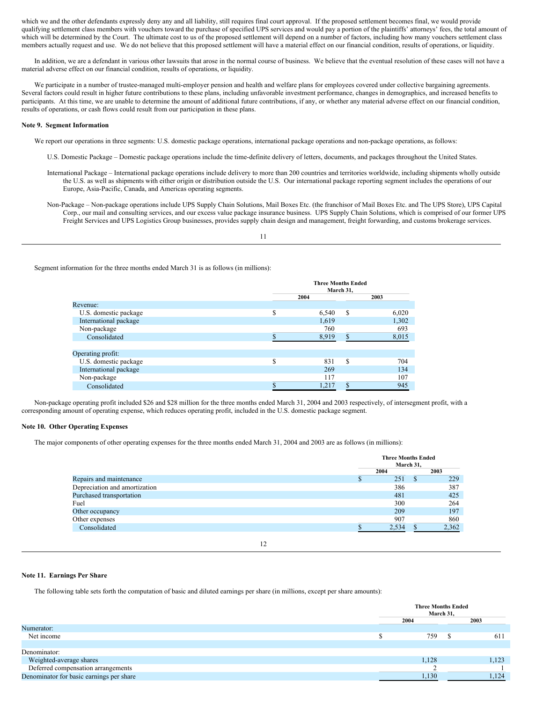which we and the other defendants expressly deny any and all liability, still requires final court approval. If the proposed settlement becomes final, we would provide qualifying settlement class members with vouchers toward the purchase of specified UPS services and would pay a portion of the plaintiffs' attorneys' fees, the total amount of which will be determined by the Court. The ultimate cost to us of the proposed settlement will depend on a number of factors, including how many vouchers settlement class members actually request and use. We do not believe that this proposed settlement will have a material effect on our financial condition, results of operations, or liquidity.

In addition, we are a defendant in various other lawsuits that arose in the normal course of business. We believe that the eventual resolution of these cases will not have a material adverse effect on our financial condition, results of operations, or liquidity.

We participate in a number of trustee-managed multi-employer pension and health and welfare plans for employees covered under collective bargaining agreements. Several factors could result in higher future contributions to these plans, including unfavorable investment performance, changes in demographics, and increased benefits to participants. At this time, we are unable to determine the amount of additional future contributions, if any, or whether any material adverse effect on our financial condition, results of operations, or cash flows could result from our participation in these plans.

### **Note 9. Segment Information**

- We report our operations in three segments: U.S. domestic package operations, international package operations and non-package operations, as follows:
	- U.S. Domestic Package Domestic package operations include the time-definite delivery of letters, documents, and packages throughout the United States.
	- International Package International package operations include delivery to more than 200 countries and territories worldwide, including shipments wholly outside the U.S. as well as shipments with either origin or distribution outside the U.S. Our international package reporting segment includes the operations of our Europe, Asia-Pacific, Canada, and Americas operating segments.
	- Non-Package Non-package operations include UPS Supply Chain Solutions, Mail Boxes Etc. (the franchisor of Mail Boxes Etc. and The UPS Store), UPS Capital Corp., our mail and consulting services, and our excess value package insurance business. UPS Supply Chain Solutions, which is comprised of our former UPS Freight Services and UPS Logistics Group businesses, provides supply chain design and management, freight forwarding, and customs brokerage services.

11

Segment information for the three months ended March 31 is as follows (in millions):

|                       | <b>Three Months Ended</b><br>March 31. |    |       |  |  |
|-----------------------|----------------------------------------|----|-------|--|--|
|                       | 2004                                   |    | 2003  |  |  |
| Revenue:              |                                        |    |       |  |  |
| U.S. domestic package | \$<br>6,540                            | \$ | 6,020 |  |  |
| International package | 1,619                                  |    | 1,302 |  |  |
| Non-package           | 760                                    |    | 693   |  |  |
| Consolidated          | 8,919                                  | \$ | 8,015 |  |  |
|                       |                                        |    |       |  |  |
| Operating profit:     |                                        |    |       |  |  |
| U.S. domestic package | \$<br>831                              | \$ | 704   |  |  |
| International package | 269                                    |    | 134   |  |  |
| Non-package           | 117                                    |    | 107   |  |  |
| Consolidated          | 1,217                                  | Φ. | 945   |  |  |

Non-package operating profit included \$26 and \$28 million for the three months ended March 31, 2004 and 2003 respectively, of intersegment profit, with a corresponding amount of operating expense, which reduces operating profit, included in the U.S. domestic package segment.

#### **Note 10. Other Operating Expenses**

The major components of other operating expenses for the three months ended March 31, 2004 and 2003 are as follows (in millions):

|                               | <b>Three Months Ended</b><br>March 31, |       |   |       |
|-------------------------------|----------------------------------------|-------|---|-------|
|                               |                                        | 2004  |   | 2003  |
| Repairs and maintenance       |                                        | 251   | S | 229   |
| Depreciation and amortization |                                        | 386   |   | 387   |
| Purchased transportation      |                                        | 481   |   | 425   |
| Fuel                          |                                        | 300   |   | 264   |
| Other occupancy               |                                        | 209   |   | 197   |
| Other expenses                |                                        | 907   |   | 860   |
| Consolidated                  |                                        | 2,534 |   | 2,362 |
|                               |                                        |       |   |       |
|                               |                                        |       |   |       |

# **Note 11. Earnings Per Share**

The following table sets forth the computation of basic and diluted earnings per share (in millions, except per share amounts):

|                                          | <b>Three Months Ended</b><br>March 31, |  |       |
|------------------------------------------|----------------------------------------|--|-------|
|                                          | 2004                                   |  | 2003  |
| Numerator:                               |                                        |  |       |
| Net income                               | 759                                    |  | 611   |
|                                          |                                        |  |       |
| Denominator:                             |                                        |  |       |
| Weighted-average shares                  | 1,128                                  |  | 1,123 |
| Deferred compensation arrangements       |                                        |  |       |
| Denominator for basic earnings per share | 1,130                                  |  | 1,124 |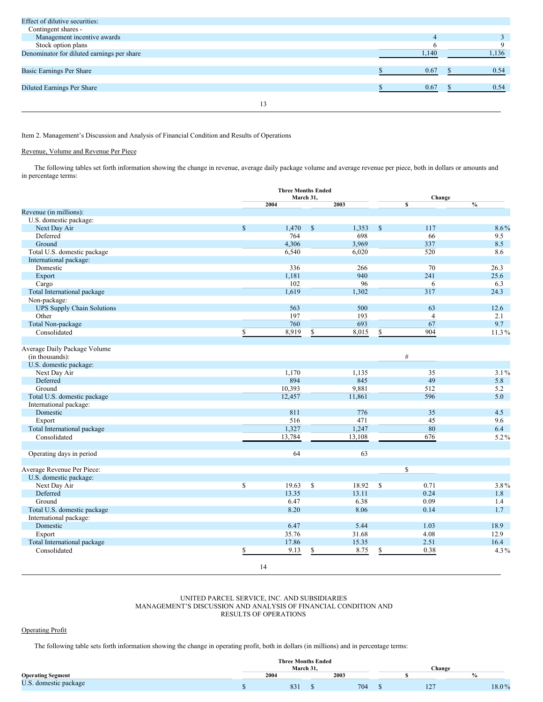| Effect of dilutive securities:             |    |  |       |      |
|--------------------------------------------|----|--|-------|------|
| Contingent shares -                        |    |  |       |      |
| Management incentive awards                |    |  |       |      |
| Stock option plans                         |    |  |       |      |
| Denominator for diluted earnings per share |    |  | 1,140 | .136 |
|                                            |    |  |       |      |
| Basic Earnings Per Share                   |    |  | 0.67  | 0.54 |
|                                            |    |  |       |      |
| <b>Diluted Earnings Per Share</b>          |    |  | 0.67  | 0.54 |
|                                            |    |  |       |      |
|                                            | 13 |  |       |      |
|                                            |    |  |       |      |

# Item 2. Management's Discussion and Analysis of Financial Condition and Results of Operations

# Revenue, Volume and Revenue Per Piece

The following tables set forth information showing the change in revenue, average daily package volume and average revenue per piece, both in dollars or amounts and in percentage terms:

|                                                 |              | <b>Three Months Ended</b><br>March 31, |              |        |               | Change         |         |  |
|-------------------------------------------------|--------------|----------------------------------------|--------------|--------|---------------|----------------|---------|--|
|                                                 |              | 2004                                   |              | 2003   |               | \$             | $\%$    |  |
| Revenue (in millions):                          |              |                                        |              |        |               |                |         |  |
| U.S. domestic package:                          |              |                                        |              |        |               |                |         |  |
| Next Day Air                                    | $\mathbf{s}$ | 1,470                                  | $\mathbb{S}$ | 1,353  | $\mathsf{\$}$ | 117            | 8.6%    |  |
| Deferred                                        |              | 764                                    |              | 698    |               | 66             | 9.5     |  |
| Ground                                          |              | 4,306                                  |              | 3,969  |               | 337            | 8.5     |  |
| Total U.S. domestic package                     |              | 6,540                                  |              | 6,020  |               | 520            | 8.6     |  |
| International package:                          |              |                                        |              |        |               |                |         |  |
| Domestic                                        |              | 336                                    |              | 266    |               | 70             | 26.3    |  |
| Export                                          |              | 1,181                                  |              | 940    |               | 241            | 25.6    |  |
| Cargo                                           |              | 102                                    |              | 96     |               | 6              | 6.3     |  |
| Total International package                     |              | 1,619                                  |              | 1,302  |               | 317            | 24.3    |  |
| Non-package:                                    |              |                                        |              |        |               |                |         |  |
| <b>UPS Supply Chain Solutions</b>               |              | 563                                    |              | 500    |               | 63             | 12.6    |  |
| Other                                           |              | 197                                    |              | 193    |               | $\overline{4}$ | 2.1     |  |
| Total Non-package                               |              | 760                                    |              | 693    |               | 67             | 9.7     |  |
| Consolidated                                    | \$           | 8,919                                  | \$           | 8,015  | \$            | 904            | 11.3%   |  |
|                                                 |              |                                        |              |        |               |                |         |  |
| Average Daily Package Volume<br>(in thousands): |              |                                        |              |        |               | $\#$           |         |  |
| U.S. domestic package:                          |              |                                        |              |        |               |                |         |  |
| Next Day Air                                    |              | 1,170                                  |              | 1,135  |               | 35             | $3.1\%$ |  |
| Deferred                                        |              | 894                                    |              | 845    |               | 49             | 5.8     |  |
| Ground                                          |              | 10,393                                 |              | 9,881  |               | 512            | 5.2     |  |
| Total U.S. domestic package                     |              | 12,457                                 |              | 11,861 |               | 596            | 5.0     |  |
| International package:                          |              |                                        |              |        |               |                |         |  |
| Domestic                                        |              | 811                                    |              | 776    |               | 35             | 4.5     |  |
| Export                                          |              | 516                                    |              | 471    |               | 45             | 9.6     |  |
| Total International package                     |              | 1,327                                  |              | 1,247  |               | 80             | 6.4     |  |
| Consolidated                                    |              | 13,784                                 |              | 13,108 |               | 676            | 5.2%    |  |
|                                                 |              |                                        |              |        |               |                |         |  |
| Operating days in period                        |              | 64                                     |              | 63     |               |                |         |  |
| Average Revenue Per Piece:                      |              |                                        |              |        |               | \$             |         |  |
| U.S. domestic package:                          |              |                                        |              |        |               |                |         |  |
| Next Day Air                                    | \$           | 19.63                                  | S            | 18.92  | $\mathbb{S}$  | 0.71           | 3.8%    |  |
| Deferred                                        |              | 13.35                                  |              | 13.11  |               | 0.24           | 1.8     |  |
| Ground                                          |              | 6.47                                   |              | 6.38   |               | 0.09           | 1.4     |  |
| Total U.S. domestic package                     |              | 8.20                                   |              | 8.06   |               | 0.14           | 1.7     |  |
| International package:                          |              |                                        |              |        |               |                |         |  |
| Domestic                                        |              | 6.47                                   |              | 5.44   |               | 1.03           | 18.9    |  |
| Export                                          |              | 35.76                                  |              | 31.68  |               | 4.08           | 12.9    |  |
| Total International package                     |              | 17.86                                  |              | 15.35  |               | 2.51           | 16.4    |  |
|                                                 |              |                                        |              |        |               |                | $4.3\%$ |  |
|                                                 |              |                                        |              |        |               |                |         |  |
| Consolidated                                    | 14           | 9.13                                   | \$           | 8.75   | \$            | 0.38           |         |  |

# UNITED PARCEL SERVICE, INC. AND SUBSIDIARIES MANAGEMENT'S DISCUSSION AND ANALYSIS OF FINANCIAL CONDITION AND RESULTS OF OPERATIONS

# Operating Profit

The following table sets forth information showing the change in operating profit, both in dollars (in millions) and in percentage terms:

|                                     | <b>Three Months Ended</b> |      |  |      |  |     |       |
|-------------------------------------|---------------------------|------|--|------|--|-----|-------|
|                                     | March 31.<br>Change       |      |  |      |  |     |       |
| <b>Operating Segment</b>            |                           | 2004 |  | 2003 |  |     |       |
| TT C<br>domestic package<br><u></u> |                           | 831  |  | 704  |  | 127 | 18.0% |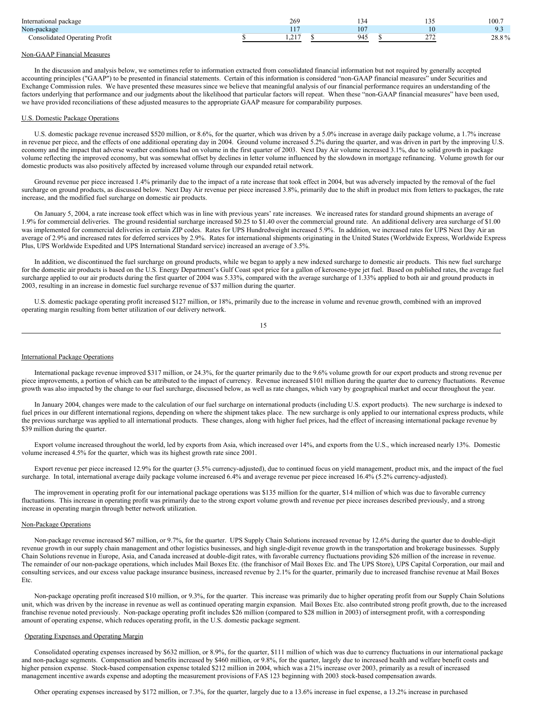| International package         | 269                              |                 | 1 J J       | 100.7 |
|-------------------------------|----------------------------------|-----------------|-------------|-------|
| Non-package                   | .<br>. .                         | $\sim$ $\sigma$ |             | ر. ر  |
| Consolidated Operating Profit | $\sim$ $\sim$ $\sim$<br>$\cdots$ | $\Omega$        | $\sim$<br>. | 28.8% |

# Non-GAAP Financial Measures

In the discussion and analysis below, we sometimes refer to information extracted from consolidated financial information but not required by generally accepted accounting principles ("GAAP") to be presented in financial statements. Certain of this information is considered "non-GAAP financial measures" under Securities and Exchange Commission rules. We have presented these measures since we believe that meaningful analysis of our financial performance requires an understanding of the factors underlying that performance and our judgments about the likelihood that particular factors will repeat. When these "non-GAAP financial measures" have been used, we have provided reconciliations of these adjusted measures to the appropriate GAAP measure for comparability purposes.

#### U.S. Domestic Package Operations

U.S. domestic package revenue increased \$520 million, or 8.6%, for the quarter, which was driven by a 5.0% increase in average daily package volume, a 1.7% increase in revenue per piece, and the effects of one additional operating day in 2004. Ground volume increased 5.2% during the quarter, and was driven in part by the improving U.S. economy and the impact that adverse weather conditions had on volume in the first quarter of 2003. Next Day Air volume increased 3.1%, due to solid growth in package volume reflecting the improved economy, but was somewhat offset by declines in letter volume influenced by the slowdown in mortgage refinancing. Volume growth for our domestic products was also positively affected by increased volume through our expanded retail network.

Ground revenue per piece increased 1.4% primarily due to the impact of a rate increase that took effect in 2004, but was adversely impacted by the removal of the fuel surcharge on ground products, as discussed below. Next Day Air revenue per piece increased 3.8%, primarily due to the shift in product mix from letters to packages, the rate increase, and the modified fuel surcharge on domestic air products.

On January 5, 2004, a rate increase took effect which was in line with previous years' rate increases. We increased rates for standard ground shipments an average of 1.9% for commercial deliveries. The ground residential surcharge increased \$0.25 to \$1.40 over the commercial ground rate. An additional delivery area surcharge of \$1.00 was implemented for commercial deliveries in certain ZIP codes. Rates for UPS Hundredweight increased 5.9%. In addition, we increased rates for UPS Next Day Air an average of 2.9% and increased rates for deferred services by 2.9%. Rates for international shipments originating in the United States (Worldwide Express, Worldwide Express Plus, UPS Worldwide Expedited and UPS International Standard service) increased an average of 3.5%.

In addition, we discontinued the fuel surcharge on ground products, while we began to apply a new indexed surcharge to domestic air products. This new fuel surcharge for the domestic air products is based on the U.S. Energy Department's Gulf Coast spot price for a gallon of kerosene-type jet fuel. Based on published rates, the average fuel surcharge applied to our air products during the first quarter of 2004 was 5.33%, compared with the average surcharge of 1.33% applied to both air and ground products in 2003, resulting in an increase in domestic fuel surcharge revenue of \$37 million during the quarter.

U.S. domestic package operating profit increased \$127 million, or 18%, primarily due to the increase in volume and revenue growth, combined with an improved operating margin resulting from better utilization of our delivery network.

| ۰.      |
|---------|
| ×<br>۰, |

#### International Package Operations

International package revenue improved \$317 million, or 24.3%, for the quarter primarily due to the 9.6% volume growth for our export products and strong revenue per piece improvements, a portion of which can be attributed to the impact of currency. Revenue increased \$101 million during the quarter due to currency fluctuations. Revenue growth was also impacted by the change to our fuel surcharge, discussed below, as well as rate changes, which vary by geographical market and occur throughout the year.

In January 2004, changes were made to the calculation of our fuel surcharge on international products (including U.S. export products). The new surcharge is indexed to fuel prices in our different international regions, depending on where the shipment takes place. The new surcharge is only applied to our international express products, while the previous surcharge was applied to all international products. These changes, along with higher fuel prices, had the effect of increasing international package revenue by \$39 million during the quarter.

Export volume increased throughout the world, led by exports from Asia, which increased over 14%, and exports from the U.S., which increased nearly 13%. Domestic volume increased 4.5% for the quarter, which was its highest growth rate since 2001.

Export revenue per piece increased 12.9% for the quarter (3.5% currency-adjusted), due to continued focus on yield management, product mix, and the impact of the fuel surcharge. In total, international average daily package volume increased 6.4% and average revenue per piece increased 16.4% (5.2% currency-adjusted).

The improvement in operating profit for our international package operations was \$135 million for the quarter, \$14 million of which was due to favorable currency fluctuations. This increase in operating profit was primarily due to the strong export volume growth and revenue per piece increases described previously, and a strong increase in operating margin through better network utilization.

#### Non-Package Operations

Non-package revenue increased \$67 million, or 9.7%, for the quarter. UPS Supply Chain Solutions increased revenue by 12.6% during the quarter due to double-digit revenue growth in our supply chain management and other logistics businesses, and high single-digit revenue growth in the transportation and brokerage businesses. Supply Chain Solutions revenue in Europe, Asia, and Canada increased at double-digit rates, with favorable currency fluctuations providing \$26 million of the increase in revenue. The remainder of our non-package operations, which includes Mail Boxes Etc. (the franchisor of Mail Boxes Etc. and The UPS Store), UPS Capital Corporation, our mail and consulting services, and our excess value package insurance business, increased revenue by 2.1% for the quarter, primarily due to increased franchise revenue at Mail Boxes Etc.

Non-package operating profit increased \$10 million, or 9.3%, for the quarter. This increase was primarily due to higher operating profit from our Supply Chain Solutions unit, which was driven by the increase in revenue as well as continued operating margin expansion. Mail Boxes Etc. also contributed strong profit growth, due to the increased franchise revenue noted previously. Non-package operating profit includes \$26 million (compared to \$28 million in 2003) of intersegment profit, with a corresponding amount of operating expense, which reduces operating profit, in the U.S. domestic package segment.

#### Operating Expenses and Operating Margin

Consolidated operating expenses increased by \$632 million, or 8.9%, for the quarter, \$111 million of which was due to currency fluctuations in our international package and non-package segments. Compensation and benefits increased by \$460 million, or 9.8%, for the quarter, largely due to increased health and welfare benefit costs and higher pension expense. Stock-based compensation expense totaled \$212 million in 2004, which was a 21% increase over 2003, primarily as a result of increased management incentive awards expense and adopting the measurement provisions of FAS 123 beginning with 2003 stock-based compensation awards.

Other operating expenses increased by \$172 million, or 7.3%, for the quarter, largely due to a 13.6% increase in fuel expense, a 13.2% increase in purchased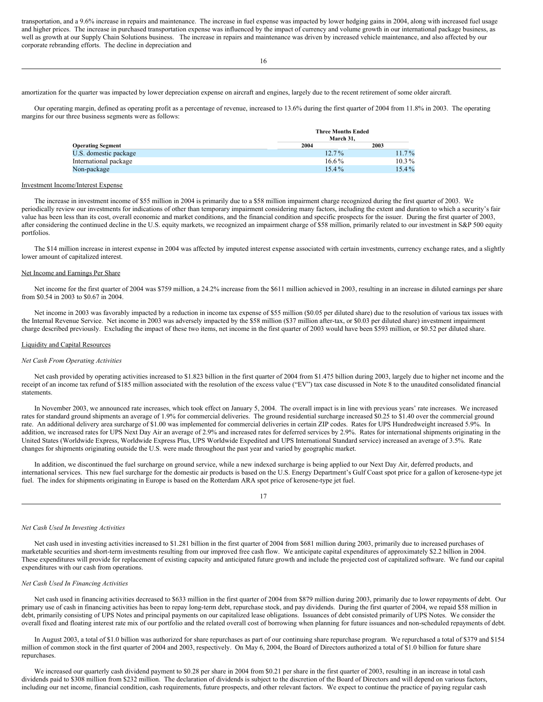transportation, and a 9.6% increase in repairs and maintenance. The increase in fuel expense was impacted by lower hedging gains in 2004, along with increased fuel usage and higher prices. The increase in purchased transportation expense was influenced by the impact of currency and volume growth in our international package business, as well as growth at our Supply Chain Solutions business. The increase in repairs and maintenance was driven by increased vehicle maintenance, and also affected by our corporate rebranding efforts. The decline in depreciation and

amortization for the quarter was impacted by lower depreciation expense on aircraft and engines, largely due to the recent retirement of some older aircraft.

Our operating margin, defined as operating profit as a percentage of revenue, increased to 13.6% during the first quarter of 2004 from 11.8% in 2003. The operating margins for our three business segments were as follows:

| <b>Operating Segment</b> | <b>Three Months Ended</b><br>March 31. |          |
|--------------------------|----------------------------------------|----------|
|                          | 2004                                   | 2003     |
| U.S. domestic package    | $12.7\%$                               | $11.7\%$ |
| International package    | $16.6\%$                               | $10.3\%$ |
| Non-package              | $15.4\%$                               | $15.4\%$ |

#### Investment Income/Interest Expense

The increase in investment income of \$55 million in 2004 is primarily due to a \$58 million impairment charge recognized during the first quarter of 2003. We periodically review our investments for indications of other than temporary impairment considering many factors, including the extent and duration to which a security's fair value has been less than its cost, overall economic and market conditions, and the financial condition and specific prospects for the issuer. During the first quarter of 2003, after considering the continued decline in the U.S. equity markets, we recognized an impairment charge of \$58 million, primarily related to our investment in S&P 500 equity portfolios.

The \$14 million increase in interest expense in 2004 was affected by imputed interest expense associated with certain investments, currency exchange rates, and a slightly lower amount of capitalized interest.

## Net Income and Earnings Per Share

Net income for the first quarter of 2004 was \$759 million, a 24.2% increase from the \$611 million achieved in 2003, resulting in an increase in diluted earnings per share from \$0.54 in 2003 to \$0.67 in 2004.

Net income in 2003 was favorably impacted by a reduction in income tax expense of \$55 million (\$0.05 per diluted share) due to the resolution of various tax issues with the Internal Revenue Service. Net income in 2003 was adversely impacted by the \$58 million (\$37 million after-tax, or \$0.03 per diluted share) investment impairment charge described previously. Excluding the impact of these two items, net income in the first quarter of 2003 would have been \$593 million, or \$0.52 per diluted share.

## Liquidity and Capital Resources

## *Net Cash From Operating Activities*

Net cash provided by operating activities increased to \$1.823 billion in the first quarter of 2004 from \$1.475 billion during 2003, largely due to higher net income and the receipt of an income tax refund of \$185 million associated with the resolution of the excess value ("EV") tax case discussed in Note 8 to the unaudited consolidated financial statements.

In November 2003, we announced rate increases, which took effect on January 5, 2004. The overall impact is in line with previous years' rate increases. We increased rates for standard ground shipments an average of 1.9% for commercial deliveries. The ground residential surcharge increased \$0.25 to \$1.40 over the commercial ground rate. An additional delivery area surcharge of \$1.00 was implemented for commercial deliveries in certain ZIP codes. Rates for UPS Hundredweight increased 5.9%. In addition, we increased rates for UPS Next Day Air an average of 2.9% and increased rates for deferred services by 2.9%. Rates for international shipments originating in the United States (Worldwide Express, Worldwide Express Plus, UPS Worldwide Expedited and UPS International Standard service) increased an average of 3.5%. Rate changes for shipments originating outside the U.S. were made throughout the past year and varied by geographic market.

In addition, we discontinued the fuel surcharge on ground service, while a new indexed surcharge is being applied to our Next Day Air, deferred products, and international services. This new fuel surcharge for the domestic air products is based on the U.S. Energy Department's Gulf Coast spot price for a gallon of kerosene-type jet fuel. The index for shipments originating in Europe is based on the Rotterdam ARA spot price of kerosene-type jet fuel.

#### 17

#### *Net Cash Used In Investing Activities*

Net cash used in investing activities increased to \$1.281 billion in the first quarter of 2004 from \$681 million during 2003, primarily due to increased purchases of marketable securities and short-term investments resulting from our improved free cash flow. We anticipate capital expenditures of approximately \$2.2 billion in 2004. These expenditures will provide for replacement of existing capacity and anticipated future growth and include the projected cost of capitalized software. We fund our capital expenditures with our cash from operations.

#### *Net Cash Used In Financing Activities*

Net cash used in financing activities decreased to \$633 million in the first quarter of 2004 from \$879 million during 2003, primarily due to lower repayments of debt. Our primary use of cash in financing activities has been to repay long-term debt, repurchase stock, and pay dividends. During the first quarter of 2004, we repaid \$58 million in debt, primarily consisting of UPS Notes and principal payments on our capitalized lease obligations. Issuances of debt consisted primarily of UPS Notes. We consider the overall fixed and floating interest rate mix of our portfolio and the related overall cost of borrowing when planning for future issuances and non-scheduled repayments of debt.

In August 2003, a total of \$1.0 billion was authorized for share repurchases as part of our continuing share repurchase program. We repurchased a total of \$379 and \$154 million of common stock in the first quarter of 2004 and 2003, respectively. On May 6, 2004, the Board of Directors authorized a total of \$1.0 billion for future share repurchases.

We increased our quarterly cash dividend payment to \$0.28 per share in 2004 from \$0.21 per share in the first quarter of 2003, resulting in an increase in total cash dividends paid to \$308 million from \$232 million. The declaration of dividends is subject to the discretion of the Board of Directors and will depend on various factors, including our net income, financial condition, cash requirements, future prospects, and other relevant factors. We expect to continue the practice of paying regular cash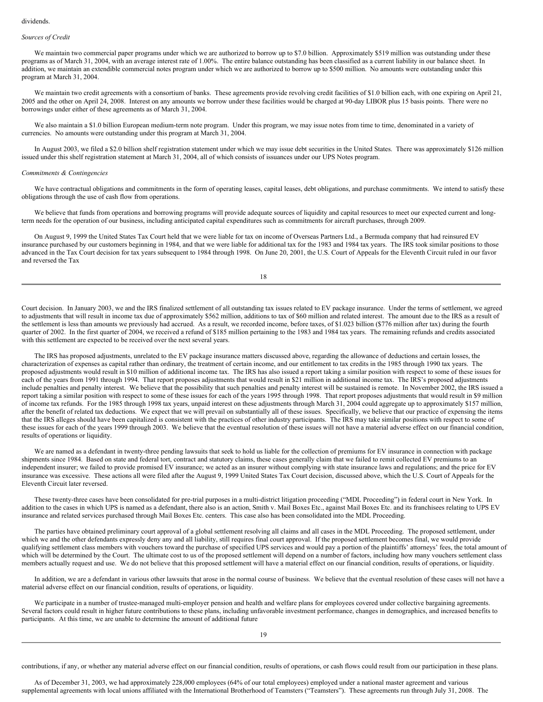#### dividends.

# *Sources of Credit*

We maintain two commercial paper programs under which we are authorized to borrow up to \$7.0 billion. Approximately \$519 million was outstanding under these programs as of March 31, 2004, with an average interest rate of 1.00%. The entire balance outstanding has been classified as a current liability in our balance sheet. In addition, we maintain an extendible commercial notes program under which we are authorized to borrow up to \$500 million. No amounts were outstanding under this program at March 31, 2004.

We maintain two credit agreements with a consortium of banks. These agreements provide revolving credit facilities of \$1.0 billion each, with one expiring on April 21, 2005 and the other on April 24, 2008. Interest on any amounts we borrow under these facilities would be charged at 90-day LIBOR plus 15 basis points. There were no borrowings under either of these agreements as of March 31, 2004.

We also maintain a \$1.0 billion European medium-term note program. Under this program, we may issue notes from time to time, denominated in a variety of currencies. No amounts were outstanding under this program at March 31, 2004.

In August 2003, we filed a \$2.0 billion shelf registration statement under which we may issue debt securities in the United States. There was approximately \$126 million issued under this shelf registration statement at March 31, 2004, all of which consists of issuances under our UPS Notes program.

#### *Commitments & Contingencies*

We have contractual obligations and commitments in the form of operating leases, capital leases, debt obligations, and purchase commitments. We intend to satisfy these obligations through the use of cash flow from operations.

We believe that funds from operations and borrowing programs will provide adequate sources of liquidity and capital resources to meet our expected current and longterm needs for the operation of our business, including anticipated capital expenditures such as commitments for aircraft purchases, through 2009.

On August 9, 1999 the United States Tax Court held that we were liable for tax on income of Overseas Partners Ltd., a Bermuda company that had reinsured EV insurance purchased by our customers beginning in 1984, and that we were liable for additional tax for the 1983 and 1984 tax years. The IRS took similar positions to those advanced in the Tax Court decision for tax years subsequent to 1984 through 1998. On June 20, 2001, the U.S. Court of Appeals for the Eleventh Circuit ruled in our favor and reversed the Tax

18

Court decision. In January 2003, we and the IRS finalized settlement of all outstanding tax issues related to EV package insurance. Under the terms of settlement, we agreed to adjustments that will result in income tax due of approximately \$562 million, additions to tax of \$60 million and related interest. The amount due to the IRS as a result of the settlement is less than amounts we previously had accrued. As a result, we recorded income, before taxes, of \$1.023 billion (\$776 million after tax) during the fourth quarter of 2002. In the first quarter of 2004, we received a refund of \$185 million pertaining to the 1983 and 1984 tax years. The remaining refunds and credits associated with this settlement are expected to be received over the next several years.

The IRS has proposed adjustments, unrelated to the EV package insurance matters discussed above, regarding the allowance of deductions and certain losses, the characterization of expenses as capital rather than ordinary, the treatment of certain income, and our entitlement to tax credits in the 1985 through 1990 tax years. The proposed adjustments would result in \$10 million of additional income tax. The IRS has also issued a report taking a similar position with respect to some of these issues for each of the years from 1991 through 1994. That report proposes adjustments that would result in \$21 million in additional income tax. The IRS's proposed adjustments include penalties and penalty interest. We believe that the possibility that such penalties and penalty interest will be sustained is remote. In November 2002, the IRS issued a report taking a similar position with respect to some of these issues for each of the years 1995 through 1998. That report proposes adjustments that would result in \$9 million of income tax refunds. For the 1985 through 1998 tax years, unpaid interest on these adjustments through March 31, 2004 could aggregate up to approximately \$157 million, after the benefit of related tax deductions. We expect that we will prevail on substantially all of these issues. Specifically, we believe that our practice of expensing the items that the IRS alleges should have been capitalized is consistent with the practices of other industry participants. The IRS may take similar positions with respect to some of these issues for each of the years 1999 through 2003. We believe that the eventual resolution of these issues will not have a material adverse effect on our financial condition, results of operations or liquidity.

We are named as a defendant in twenty-three pending lawsuits that seek to hold us liable for the collection of premiums for EV insurance in connection with package shipments since 1984. Based on state and federal tort, contract and statutory claims, these cases generally claim that we failed to remit collected EV premiums to an independent insurer; we failed to provide promised EV insurance; we acted as an insurer without complying with state insurance laws and regulations; and the price for EV insurance was excessive. These actions all were filed after the August 9, 1999 United States Tax Court decision, discussed above, which the U.S. Court of Appeals for the Eleventh Circuit later reversed.

These twenty-three cases have been consolidated for pre-trial purposes in a multi-district litigation proceeding ("MDL Proceeding") in federal court in New York. In addition to the cases in which UPS is named as a defendant, there also is an action, Smith v. Mail Boxes Etc., against Mail Boxes Etc. and its franchisees relating to UPS EV insurance and related services purchased through Mail Boxes Etc. centers. This case also has been consolidated into the MDL Proceeding.

The parties have obtained preliminary court approval of a global settlement resolving all claims and all cases in the MDL Proceeding. The proposed settlement, under which we and the other defendants expressly deny any and all liability, still requires final court approval. If the proposed settlement becomes final, we would provide qualifying settlement class members with vouchers toward the purchase of specified UPS services and would pay a portion of the plaintiffs' attorneys' fees, the total amount of which will be determined by the Court. The ultimate cost to us of the proposed settlement will depend on a number of factors, including how many vouchers settlement class members actually request and use. We do not believe that this proposed settlement will have a material effect on our financial condition, results of operations, or liquidity.

In addition, we are a defendant in various other lawsuits that arose in the normal course of business. We believe that the eventual resolution of these cases will not have a material adverse effect on our financial condition, results of operations, or liquidity.

We participate in a number of trustee-managed multi-employer pension and health and welfare plans for employees covered under collective bargaining agreements. Several factors could result in higher future contributions to these plans, including unfavorable investment performance, changes in demographics, and increased benefits to participants. At this time, we are unable to determine the amount of additional future

contributions, if any, or whether any material adverse effect on our financial condition, results of operations, or cash flows could result from our participation in these plans.

As of December 31, 2003, we had approximately 228,000 employees (64% of our total employees) employed under a national master agreement and various supplemental agreements with local unions affiliated with the International Brotherhood of Teamsters ("Teamsters"). These agreements run through July 31, 2008. The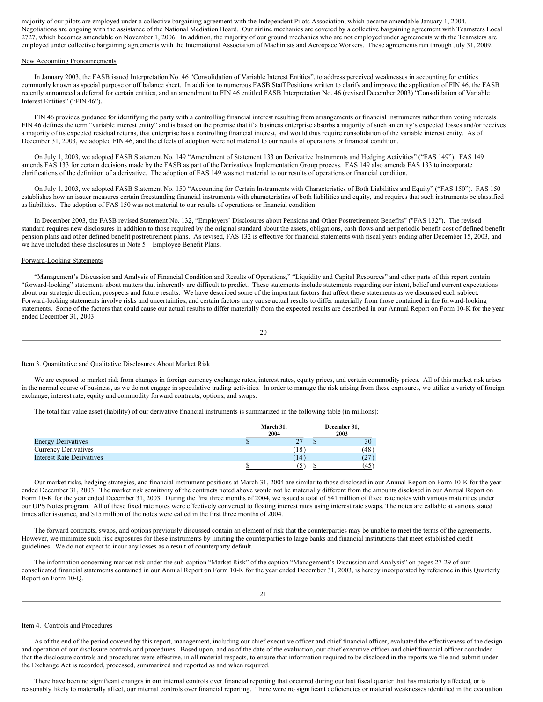majority of our pilots are employed under a collective bargaining agreement with the Independent Pilots Association, which became amendable January 1, 2004. Negotiations are ongoing with the assistance of the National Mediation Board. Our airline mechanics are covered by a collective bargaining agreement with Teamsters Local 2727, which becomes amendable on November 1, 2006. In addition, the majority of our ground mechanics who are not employed under agreements with the Teamsters are employed under collective bargaining agreements with the International Association of Machinists and Aerospace Workers. These agreements run through July 31, 2009.

### New Accounting Pronouncements

In January 2003, the FASB issued Interpretation No. 46 "Consolidation of Variable Interest Entities", to address perceived weaknesses in accounting for entities commonly known as special purpose or off balance sheet. In addition to numerous FASB Staff Positions written to clarify and improve the application of FIN 46, the FASB recently announced a deferral for certain entities, and an amendment to FIN 46 entitled FASB Interpretation No. 46 (revised December 2003) "Consolidation of Variable Interest Entities" ("FIN 46").

FIN 46 provides guidance for identifying the party with a controlling financial interest resulting from arrangements or financial instruments rather than voting interests. FIN 46 defines the term "variable interest entity" and is based on the premise that if a business enterprise absorbs a majority of such an entity's expected losses and/or receives a majority of its expected residual returns, that enterprise has a controlling financial interest, and would thus require consolidation of the variable interest entity. As of December 31, 2003, we adopted FIN 46, and the effects of adoption were not material to our results of operations or financial condition.

On July 1, 2003, we adopted FASB Statement No. 149 "Amendment of Statement 133 on Derivative Instruments and Hedging Activities" ("FAS 149"). FAS 149 amends FAS 133 for certain decisions made by the FASB as part of the Derivatives Implementation Group process. FAS 149 also amends FAS 133 to incorporate clarifications of the definition of a derivative. The adoption of FAS 149 was not material to our results of operations or financial condition.

On July 1, 2003, we adopted FASB Statement No. 150 "Accounting for Certain Instruments with Characteristics of Both Liabilities and Equity" ("FAS 150"). FAS 150 establishes how an issuer measures certain freestanding financial instruments with characteristics of both liabilities and equity, and requires that such instruments be classified as liabilities. The adoption of FAS 150 was not material to our results of operations or financial condition.

In December 2003, the FASB revised Statement No. 132, "Employers' Disclosures about Pensions and Other Postretirement Benefits" ("FAS 132"). The revised standard requires new disclosures in addition to those required by the original standard about the assets, obligations, cash flows and net periodic benefit cost of defined benefit pension plans and other defined benefit postretirement plans. As revised, FAS 132 is effective for financial statements with fiscal years ending after December 15, 2003, and we have included these disclosures in Note 5 – Employee Benefit Plans.

#### Forward-Looking Statements

"Management's Discussion and Analysis of Financial Condition and Results of Operations," "Liquidity and Capital Resources" and other parts of this report contain "forward-looking" statements about matters that inherently are difficult to predict. These statements include statements regarding our intent, belief and current expectations about our strategic direction, prospects and future results. We have described some of the important factors that affect these statements as we discussed each subject. Forward-looking statements involve risks and uncertainties, and certain factors may cause actual results to differ materially from those contained in the forward-looking statements. Some of the factors that could cause our actual results to differ materially from the expected results are described in our Annual Report on Form 10-K for the year ended December 31, 2003.

20

Item 3. Quantitative and Qualitative Disclosures About Market Risk

We are exposed to market risk from changes in foreign currency exchange rates, interest rates, equity prices, and certain commodity prices. All of this market risk arises in the normal course of business, as we do not engage in speculative trading activities. In order to manage the risk arising from these exposures, we utilize a variety of foreign exchange, interest rate, equity and commodity forward contracts, options, and swaps.

The total fair value asset (liability) of our derivative financial instruments is summarized in the following table (in millions):

|                                  | March 31,<br>2004 |  | December 31,<br>2003 |  |  |
|----------------------------------|-------------------|--|----------------------|--|--|
| <b>Energy Derivatives</b>        |                   |  | 30                   |  |  |
| <b>Currency Derivatives</b>      | (18)              |  | (48)                 |  |  |
| <b>Interest Rate Derivatives</b> | (14)              |  | 127                  |  |  |
|                                  | C                 |  | (45`                 |  |  |

Our market risks, hedging strategies, and financial instrument positions at March 31, 2004 are similar to those disclosed in our Annual Report on Form 10-K for the year ended December 31, 2003. The market risk sensitivity of the contracts noted above would not be materially different from the amounts disclosed in our Annual Report on Form 10-K for the year ended December 31, 2003. During the first three months of 2004, we issued a total of \$41 million of fixed rate notes with various maturities under our UPS Notes program. All of these fixed rate notes were effectively converted to floating interest rates using interest rate swaps. The notes are callable at various stated times after issuance, and \$15 million of the notes were called in the first three months of 2004.

The forward contracts, swaps, and options previously discussed contain an element of risk that the counterparties may be unable to meet the terms of the agreements. However, we minimize such risk exposures for these instruments by limiting the counterparties to large banks and financial institutions that meet established credit guidelines. We do not expect to incur any losses as a result of counterparty default.

The information concerning market risk under the sub-caption "Market Risk" of the caption "Management's Discussion and Analysis" on pages 27-29 of our consolidated financial statements contained in our Annual Report on Form 10-K for the year ended December 31, 2003, is hereby incorporated by reference in this Quarterly Report on Form 10-Q.

#### Item 4. Controls and Procedures

As of the end of the period covered by this report, management, including our chief executive officer and chief financial officer, evaluated the effectiveness of the design and operation of our disclosure controls and procedures. Based upon, and as of the date of the evaluation, our chief executive officer and chief financial officer concluded that the disclosure controls and procedures were effective, in all material respects, to ensure that information required to be disclosed in the reports we file and submit under the Exchange Act is recorded, processed, summarized and reported as and when required.

There have been no significant changes in our internal controls over financial reporting that occurred during our last fiscal quarter that has materially affected, or is reasonably likely to materially affect, our internal controls over financial reporting. There were no significant deficiencies or material weaknesses identified in the evaluation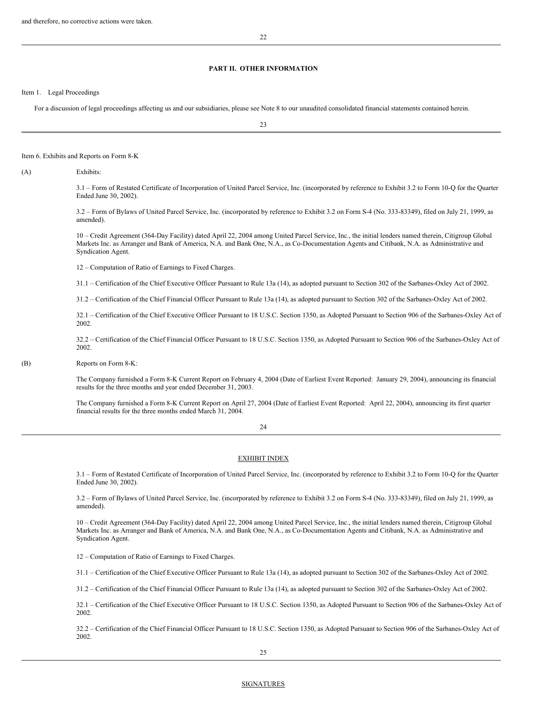# **PART II. OTHER INFORMATION**

Item 1. Legal Proceedings

For a discussion of legal proceedings affecting us and our subsidiaries, please see Note 8 to our unaudited consolidated financial statements contained herein.

23

#### Item 6. Exhibits and Reports on Form 8-K

(A) Exhibits:

3.1 – Form of Restated Certificate of Incorporation of United Parcel Service, Inc. (incorporated by reference to Exhibit 3.2 to Form 10-Q for the Quarter Ended June 30, 2002).

3.2 – Form of Bylaws of United Parcel Service, Inc. (incorporated by reference to Exhibit 3.2 on Form S-4 (No. 333-83349), filed on July 21, 1999, as amended).

10 – Credit Agreement (364-Day Facility) dated April 22, 2004 among United Parcel Service, Inc., the initial lenders named therein, Citigroup Global Markets Inc. as Arranger and Bank of America, N.A. and Bank One, N.A., as Co-Documentation Agents and Citibank, N.A. as Administrative and Syndication Agent.

12 – Computation of Ratio of Earnings to Fixed Charges.

31.1 – Certification of the Chief Executive Officer Pursuant to Rule 13a (14), as adopted pursuant to Section 302 of the Sarbanes-Oxley Act of 2002.

31.2 – Certification of the Chief Financial Officer Pursuant to Rule 13a (14), as adopted pursuant to Section 302 of the Sarbanes-Oxley Act of 2002.

32.1 – Certification of the Chief Executive Officer Pursuant to 18 U.S.C. Section 1350, as Adopted Pursuant to Section 906 of the Sarbanes-Oxley Act of 2002.

32.2 – Certification of the Chief Financial Officer Pursuant to 18 U.S.C. Section 1350, as Adopted Pursuant to Section 906 of the Sarbanes-Oxley Act of 2002.

(B) Reports on Form 8-K:

The Company furnished a Form 8-K Current Report on February 4, 2004 (Date of Earliest Event Reported: January 29, 2004), announcing its financial results for the three months and year ended December 31, 2003.

The Company furnished a Form 8-K Current Report on April 27, 2004 (Date of Earliest Event Reported: April 22, 2004), announcing its first quarter financial results for the three months ended March 31, 2004.

# 24

## EXHIBIT INDEX

3.1 – Form of Restated Certificate of Incorporation of United Parcel Service, Inc. (incorporated by reference to Exhibit 3.2 to Form 10-Q for the Quarter Ended June 30, 2002).

3.2 – Form of Bylaws of United Parcel Service, Inc. (incorporated by reference to Exhibit 3.2 on Form S-4 (No. 333-83349), filed on July 21, 1999, as amended).

10 – Credit Agreement (364-Day Facility) dated April 22, 2004 among United Parcel Service, Inc., the initial lenders named therein, Citigroup Global Markets Inc. as Arranger and Bank of America, N.A. and Bank One, N.A., as Co-Documentation Agents and Citibank, N.A. as Administrative and Syndication Agent.

12 – Computation of Ratio of Earnings to Fixed Charges.

31.1 – Certification of the Chief Executive Officer Pursuant to Rule 13a (14), as adopted pursuant to Section 302 of the Sarbanes-Oxley Act of 2002.

31.2 – Certification of the Chief Financial Officer Pursuant to Rule 13a (14), as adopted pursuant to Section 302 of the Sarbanes-Oxley Act of 2002.

32.1 – Certification of the Chief Executive Officer Pursuant to 18 U.S.C. Section 1350, as Adopted Pursuant to Section 906 of the Sarbanes-Oxley Act of 2002.

32.2 – Certification of the Chief Financial Officer Pursuant to 18 U.S.C. Section 1350, as Adopted Pursuant to Section 906 of the Sarbanes-Oxley Act of 2002.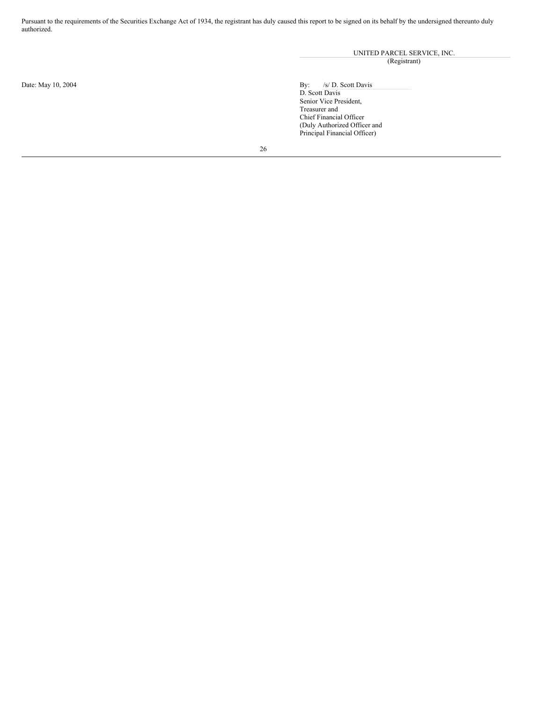Pursuant to the requirements of the Securities Exchange Act of 1934, the registrant has duly caused this report to be signed on its behalf by the undersigned thereunto duly authorized.

UNITED PARCEL SERVICE, INC.

(Registrant)

Date: May 10, 2004 By: /s/ D. Scott Davis

By:  $/s/D. S$ <br>D. Scott Davis Senior Vice President, Treasurer and Chief Financial Officer (Duly Authorized Officer and Principal Financial Officer)

26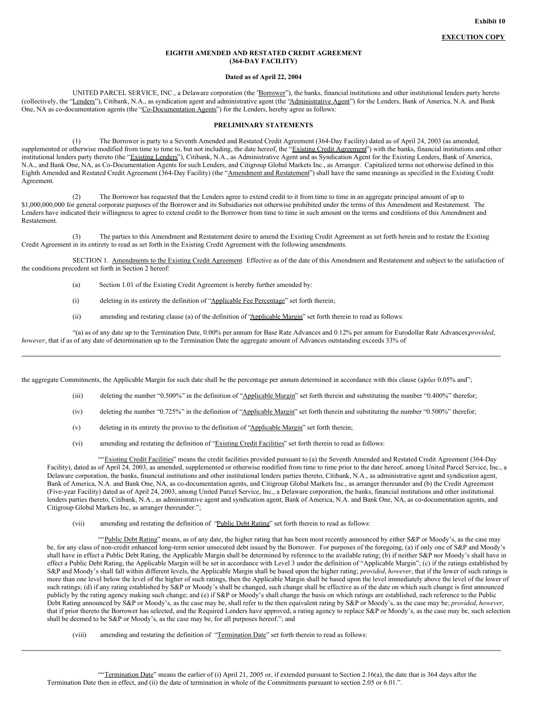## **EIGHTH AMENDED AND RESTATED CREDIT AGREEMENT (364-DAY FACILITY)**

#### **Dated as of April 22, 2004**

UNITED PARCEL SERVICE, INC., a Delaware corporation (the 'Borrower''), the banks, financial institutions and other institutional lenders party hereto (collectively, the "Lenders"), Citibank, N.A., as syndication agent and administrative agent (the "Administrative Agent") for the Lenders, Bank of America, N.A. and Bank One, NA as co-documentation agents (the "Co-Documentation Agents") for the Lenders, hereby agree as follows:

### **PRELIMINARY STATEMENTS**

(1) The Borrower is party to a Seventh Amended and Restated Credit Agreement (364-Day Facility) dated as of April 24, 2003 (as amended, supplemented or otherwise modified from time to time to, but not including, the date hereof, the "Existing Credit Agreement") with the banks, financial institutions and other institutional lenders party thereto (the "Existing Lenders"), Citibank, N.A., as Administrative Agent and as Syndication Agent for the Existing Lenders, Bank of America, N.A., and Bank One, NA, as Co-Documentation Agents for such Lenders, and Citigroup Global Markets Inc., as Arranger. Capitalized terms not otherwise defined in this Eighth Amended and Restated Credit Agreement (364-Day Facility) (the "Amendment and Restatement") shall have the same meanings as specified in the Existing Credit Agreement.

(2) The Borrower has requested that the Lenders agree to extend credit to it from time to time in an aggregate principal amount of up to \$1,000,000,000 for general corporate purposes of the Borrower and its Subsidiaries not otherwise prohibited under the terms of this Amendment and Restatement. The Lenders have indicated their willingness to agree to extend credit to the Borrower from time to time in such amount on the terms and conditions of this Amendment and Restatement.

(3) The parties to this Amendment and Restatement desire to amend the Existing Credit Agreement as set forth herein and to restate the Existing Credit Agreement in its entirety to read as set forth in the Existing Credit Agreement with the following amendments.

SECTION 1. Amendments to the Existing Credit Agreement Effective as of the date of this Amendment and Restatement and subject to the satisfaction of the conditions precedent set forth in Section 2 hereof:

- (a) Section 1.01 of the Existing Credit Agreement is hereby further amended by:
- (i) deleting in its entirety the definition of "Applicable Fee Percentage" set forth therein;
- (ii) amending and restating clause (a) of the definition of "Applicable Margin" set forth therein to read as follows:

"(a) as of any date up to the Termination Date, 0.00% per annum for Base Rate Advances and 0.12% per annum for Eurodollar Rate Advances;*provided*, *however*, that if as of any date of determination up to the Termination Date the aggregate amount of Advances outstanding exceeds 33% of

the aggregate Commitments, the Applicable Margin for such date shall be the percentage per annum determined in accordance with this clause (a)*plus* 0.05% and";

- (iii) deleting the number "0.500%" in the definition of "Applicable Margin" set forth therein and substituting the number "0.400%" therefor;
- (iv) deleting the number "0.725%" in the definition of "Applicable Margin" set forth therein and substituting the number "0.500%" therefor;
- (v) deleting in its entirety the proviso to the definition of "Applicable Margin" set forth therein;
- (vi) amending and restating the definition of "Existing Credit Facilities" set forth therein to read as follows:

""Existing Credit Facilities" means the credit facilities provided pursuant to (a) the Seventh Amended and Restated Credit Agreement (364-Day Facility), dated as of April 24, 2003, as amended, supplemented or otherwise modified from time to time prior to the date hereof, among United Parcel Service, Inc., a Delaware corporation, the banks, financial institutions and other institutional lenders parties thereto, Citibank, N.A., as administrative agent and syndication agent, Bank of America, N.A. and Bank One, NA, as co-documentation agents, and Citigroup Global Markets Inc., as arranger thereunder and (b) the Credit Agreement (Five-year Facility) dated as of April 24, 2003, among United Parcel Service, Inc., a Delaware corporation, the banks, financial institutions and other institutional lenders parties thereto, Citibank, N.A., as administrative agent and syndication agent, Bank of America, N.A. and Bank One, NA, as co-documentation agents, and Citigroup Global Markets Inc, as arranger thereunder.";

(vii) amending and restating the definition of "Public Debt Rating" set forth therein to read as follows:

""Public Debt Rating" means, as of any date, the higher rating that has been most recently announced by either S&P or Moody's, as the case may be, for any class of non-credit enhanced long-term senior unsecured debt issued by the Borrower. For purposes of the foregoing, (a) if only one of S&P and Moody's shall have in effect a Public Debt Rating, the Applicable Margin shall be determined by reference to the available rating; (b) if neither S&P nor Moody's shall have in effect a Public Debt Rating, the Applicable Margin will be set in accordance with Level 3 under the definition of "Applicable Margin"; (c) if the ratings established by S&P and Moody's shall fall within different levels, the Applicable Margin shall be based upon the higher rating; *provided*, *however*, that if the lower of such ratings is more than one level below the level of the higher of such ratings, then the Applicable Margin shall be based upon the level immediately above the level of the lower of such ratings; (d) if any rating established by S&P or Moody's shall be changed, such change shall be effective as of the date on which such change is first announced publicly by the rating agency making such change; and (e) if S&P or Moody's shall change the basis on which ratings are established, each reference to the Public Debt Rating announced by S&P or Moody's, as the case may be, shall refer to the then equivalent rating by S&P or Moody's, as the case may be; *provided*, *however*, that if prior thereto the Borrower has selected, and the Required Lenders have approved, a rating agency to replace S&P or Moody's, as the case may be, such selection shall be deemed to be S&P or Moody's, as the case may be, for all purposes hereof."; and

(viii) amending and restating the definition of "Termination Date" set forth therein to read as follows: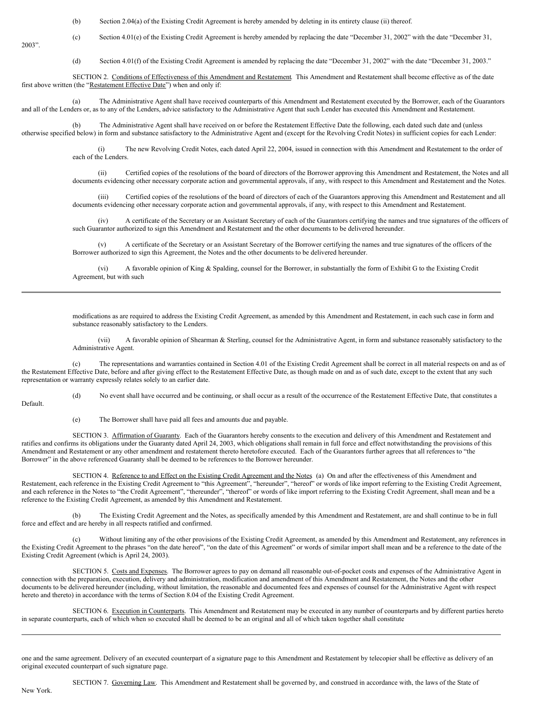(b) Section 2.04(a) of the Existing Credit Agreement is hereby amended by deleting in its entirety clause (ii) thereof.

(c) Section 4.01(e) of the Existing Credit Agreement is hereby amended by replacing the date "December 31, 2002" with the date "December 31,

2003".

(d) Section 4.01(f) of the Existing Credit Agreement is amended by replacing the date "December 31, 2002" with the date "December 31, 2003."

SECTION 2. Conditions of Effectiveness of this Amendment and Restatement. This Amendment and Restatement shall become effective as of the date first above written (the "Restatement Effective Date") when and only if:

(a) The Administrative Agent shall have received counterparts of this Amendment and Restatement executed by the Borrower, each of the Guarantors and all of the Lenders or, as to any of the Lenders, advice satisfactory to the Administrative Agent that such Lender has executed this Amendment and Restatement.

(b) The Administrative Agent shall have received on or before the Restatement Effective Date the following, each dated such date and (unless otherwise specified below) in form and substance satisfactory to the Administrative Agent and (except for the Revolving Credit Notes) in sufficient copies for each Lender:

> (i) The new Revolving Credit Notes, each dated April 22, 2004, issued in connection with this Amendment and Restatement to the order of each of the Lenders.

(ii) Certified copies of the resolutions of the board of directors of the Borrower approving this Amendment and Restatement, the Notes and all documents evidencing other necessary corporate action and governmental approvals, if any, with respect to this Amendment and Restatement and the Notes.

(iii) Certified copies of the resolutions of the board of directors of each of the Guarantors approving this Amendment and Restatement and all documents evidencing other necessary corporate action and governmental approvals, if any, with respect to this Amendment and Restatement.

(iv) A certificate of the Secretary or an Assistant Secretary of each of the Guarantors certifying the names and true signatures of the officers of such Guarantor authorized to sign this Amendment and Restatement and the other documents to be delivered hereunder.

(v) A certificate of the Secretary or an Assistant Secretary of the Borrower certifying the names and true signatures of the officers of the Borrower authorized to sign this Agreement, the Notes and the other documents to be delivered hereunder.

(vi) A favorable opinion of King & Spalding, counsel for the Borrower, in substantially the form of Exhibit G to the Existing Credit Agreement, but with such

modifications as are required to address the Existing Credit Agreement, as amended by this Amendment and Restatement, in each such case in form and substance reasonably satisfactory to the Lenders.

(vii) A favorable opinion of Shearman & Sterling, counsel for the Administrative Agent, in form and substance reasonably satisfactory to the Administrative Agent.

(c) The representations and warranties contained in Section 4.01 of the Existing Credit Agreement shall be correct in all material respects on and as of the Restatement Effective Date, before and after giving effect to the Restatement Effective Date, as though made on and as of such date, except to the extent that any such representation or warranty expressly relates solely to an earlier date.

Default.

(d) No event shall have occurred and be continuing, or shall occur as a result of the occurrence of the Restatement Effective Date, that constitutes a

(e) The Borrower shall have paid all fees and amounts due and payable.

SECTION 3. Affirmation of Guaranty. Each of the Guarantors hereby consents to the execution and delivery of this Amendment and Restatement and ratifies and confirms its obligations under the Guaranty dated April 24, 2003, which obligations shall remain in full force and effect notwithstanding the provisions of this Amendment and Restatement or any other amendment and restatement thereto heretofore executed. Each of the Guarantors further agrees that all references to "the Borrower" in the above referenced Guaranty shall be deemed to be references to the Borrower hereunder.

SECTION 4. Reference to and Effect on the Existing Credit Agreement and the Notes. (a) On and after the effectiveness of this Amendment and Restatement, each reference in the Existing Credit Agreement to "this Agreement", "hereunder", "hereof" or words of like import referring to the Existing Credit Agreement, and each reference in the Notes to "the Credit Agreement", "thereunder", "thereof" or words of like import referring to the Existing Credit Agreement, shall mean and be a reference to the Existing Credit Agreement, as amended by this Amendment and Restatement.

(b) The Existing Credit Agreement and the Notes, as specifically amended by this Amendment and Restatement, are and shall continue to be in full force and effect and are hereby in all respects ratified and confirmed.

Without limiting any of the other provisions of the Existing Credit Agreement, as amended by this Amendment and Restatement, any references in the Existing Credit Agreement to the phrases "on the date hereof", "on the date of this Agreement" or words of similar import shall mean and be a reference to the date of the Existing Credit Agreement (which is April 24, 2003).

SECTION 5. Costs and Expenses. The Borrower agrees to pay on demand all reasonable out-of-pocket costs and expenses of the Administrative Agent in connection with the preparation, execution, delivery and administration, modification and amendment of this Amendment and Restatement, the Notes and the other documents to be delivered hereunder (including, without limitation, the reasonable and documented fees and expenses of counsel for the Administrative Agent with respect hereto and thereto) in accordance with the terms of Section 8.04 of the Existing Credit Agreement.

SECTION 6. Execution in Counterparts. This Amendment and Restatement may be executed in any number of counterparts and by different parties hereto in separate counterparts, each of which when so executed shall be deemed to be an original and all of which taken together shall constitute

one and the same agreement. Delivery of an executed counterpart of a signature page to this Amendment and Restatement by telecopier shall be effective as delivery of an original executed counterpart of such signature page.

New York.

SECTION 7. Governing Law. This Amendment and Restatement shall be governed by, and construed in accordance with, the laws of the State of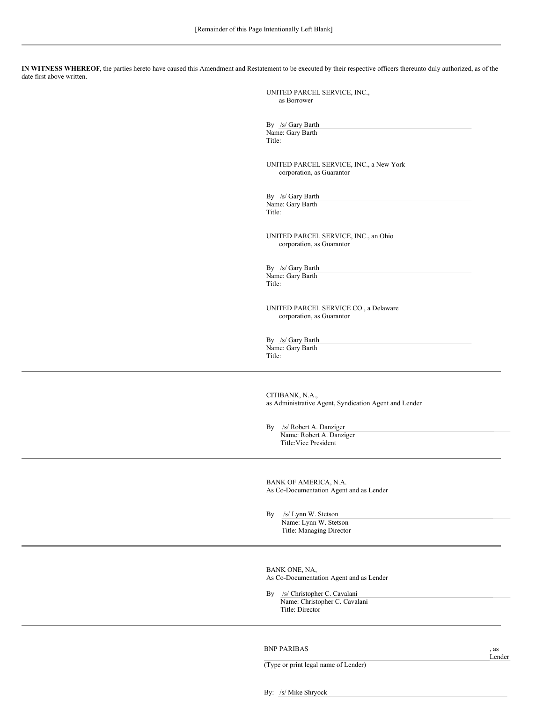**IN WITNESS WHEREOF**, the parties hereto have caused this Amendment and Restatement to be executed by their respective officers thereunto duly authorized, as of the date first above written.

> UNITED PARCEL SERVICE, INC., as Borrower

By /s/ Gary Barth Name: Gary Barth Title:

UNITED PARCEL SERVICE, INC., a New York corporation, as Guarantor

By /s/ Gary Barth Name: Gary Barth Title:

UNITED PARCEL SERVICE, INC., an Ohio corporation, as Guarantor

By /s/ Gary Barth Name: Gary Barth Title:

UNITED PARCEL SERVICE CO., a Delaware corporation, as Guarantor

By /s/ Gary Barth Name: Gary Barth Title:

CITIBANK, N.A., as Administrative Agent, Syndication Agent and Lender

By /s/ Robert A. Danziger Name: Robert A. Danziger Title:Vice President

BANK OF AMERICA, N.A. As Co-Documentation Agent and as Lender

By /s/ Lynn W. Stetson Name: Lynn W. Stetson Title: Managing Director

BANK ONE, NA, As Co-Documentation Agent and as Lender

By /s/ Christopher C. Cavalani Name: Christopher C. Cavalani Title: Director

BNP PARIBAS , as

Lender

(Type or print legal name of Lender)

By: /s/ Mike Shryock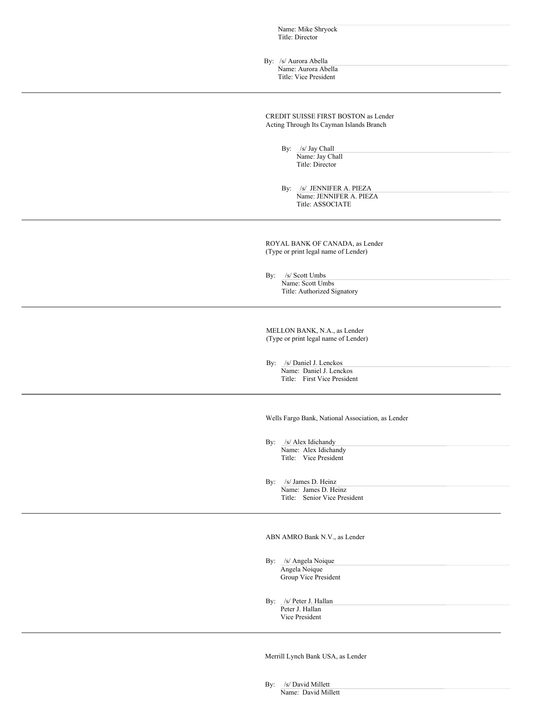| Name: Mike Shryock                                                      |  |  |
|-------------------------------------------------------------------------|--|--|
| Title: Director                                                         |  |  |
|                                                                         |  |  |
| By: /s/ Aurora Abella                                                   |  |  |
| Name: Aurora Abella                                                     |  |  |
| Title: Vice President                                                   |  |  |
|                                                                         |  |  |
|                                                                         |  |  |
| CREDIT SUISSE FIRST BOSTON as Lender                                    |  |  |
| Acting Through Its Cayman Islands Branch                                |  |  |
|                                                                         |  |  |
| By: $\frac{f_s}{\text{Name: Jay Chall}}$                                |  |  |
| Title: Director                                                         |  |  |
|                                                                         |  |  |
| By: /s/ JENNIFER A. PIEZA                                               |  |  |
| Name: JENNIFER A. PIEZA<br>Title: ASSOCIATE                             |  |  |
|                                                                         |  |  |
|                                                                         |  |  |
|                                                                         |  |  |
| ROYAL BANK OF CANADA, as Lender<br>(Type or print legal name of Lender) |  |  |
|                                                                         |  |  |
|                                                                         |  |  |
| By: /s/ Scott Umbs<br>Name: Scott Umbs                                  |  |  |
| Title: Authorized Signatory                                             |  |  |
|                                                                         |  |  |
|                                                                         |  |  |
| MELLON BANK, N.A., as Lender                                            |  |  |
| (Type or print legal name of Lender)                                    |  |  |
|                                                                         |  |  |
| By: /s/ Daniel J. Lenckos<br>Name: Daniel J. Lenckos                    |  |  |
| Title: First Vice President                                             |  |  |
|                                                                         |  |  |
|                                                                         |  |  |
| Wells Fargo Bank, National Association, as Lender                       |  |  |
|                                                                         |  |  |
| By: /s/ Alex Idichandy                                                  |  |  |
| Name: Alex Idichandy                                                    |  |  |
| Title: Vice President                                                   |  |  |
|                                                                         |  |  |
| By: /s/ James D. Heinz                                                  |  |  |
| Name: James D. Heinz<br>Title: Senior Vice President                    |  |  |
|                                                                         |  |  |
|                                                                         |  |  |
|                                                                         |  |  |
| ABN AMRO Bank N.V., as Lender                                           |  |  |
|                                                                         |  |  |
| By: /s/ Angela Noique<br>Angela Noique                                  |  |  |
| Group Vice President                                                    |  |  |
|                                                                         |  |  |
| By: /s/ Peter J. Hallan                                                 |  |  |
| Peter J. Hallan<br>Vice President                                       |  |  |
|                                                                         |  |  |
|                                                                         |  |  |
|                                                                         |  |  |
| Merrill Lynch Bank USA, as Lender                                       |  |  |

By: /s/ David Millett Name: David Millett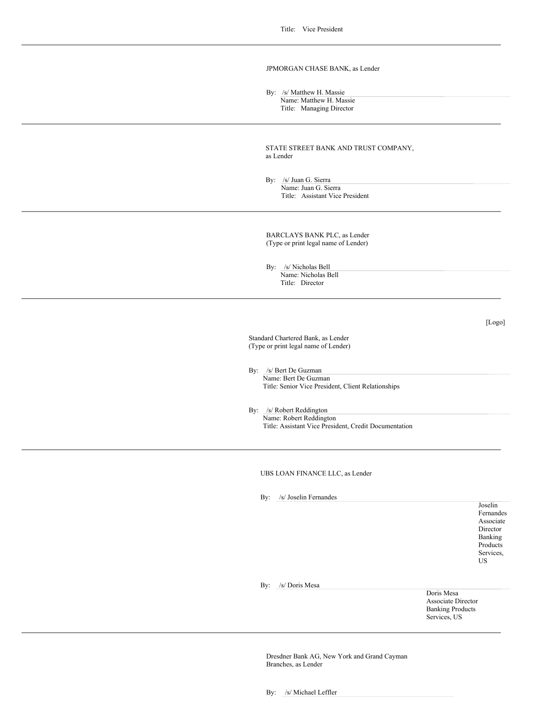# JPMORGAN CHASE BANK, as Lender

By: /s/ Matthew H. Massie

Name: Matthew H. Massie Title: Managing Director

STATE STREET BANK AND TRUST COMPANY, as Lender

By: /s/ Juan G. Sierra Name: Juan G. Sierra Title: Assistant Vice President

BARCLAYS BANK PLC, as Lender (Type or print legal name of Lender)

By: /s/ Nicholas Bell Name: Nicholas Bell Title: Director

[Logo]

Standard Chartered Bank, as Lender (Type or print legal name of Lender)

By: /s/ Bert De Guzman

Name: Bert De Guzman Title: Senior Vice President, Client Relationships

By: /s/ Robert Reddington

Name: Robert Reddington Title: Assistant Vice President, Credit Documentation

UBS LOAN FINANCE LLC, as Lender

By: /s/ Joselin Fernandes

Joselin Fernandes Associate Director Banking Products Services, US

By: /s/ Doris Mesa

Doris Mesa Associate Director Banking Products Services, US

Dresdner Bank AG, New York and Grand Cayman Branches, as Lender

By: /s/ Michael Leffler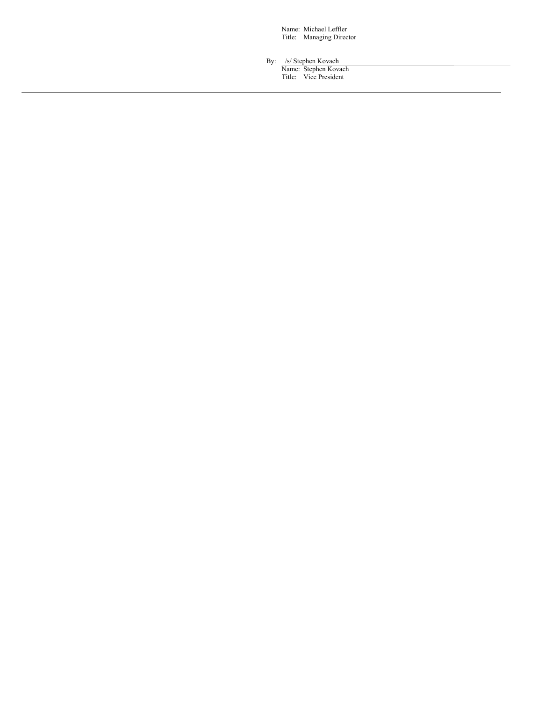Name: Michael Leffler Title: Managing Director

By: /s/ Stephen Kovach

Name: Stephen Kovach Title: Vice President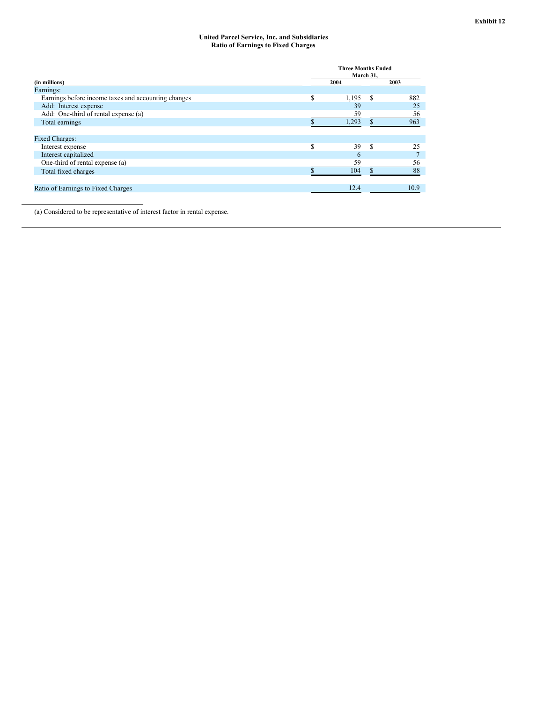### **United Parcel Service, Inc. and Subsidiaries Ratio of Earnings to Fixed Charges**

|                                                     | <b>Three Months Ended</b><br>March 31, |       |    |      |  |
|-----------------------------------------------------|----------------------------------------|-------|----|------|--|
| (in millions)                                       |                                        | 2004  |    | 2003 |  |
| Earnings:                                           |                                        |       |    |      |  |
| Earnings before income taxes and accounting changes | S                                      | 1,195 | -S | 882  |  |
| Add: Interest expense                               |                                        | 39    |    | 25   |  |
| Add: One-third of rental expense (a)                |                                        | 59    |    | 56   |  |
| Total earnings                                      |                                        | 1,293 |    | 963  |  |
|                                                     |                                        |       |    |      |  |
| <b>Fixed Charges:</b>                               |                                        |       |    |      |  |
| Interest expense                                    | S                                      | 39    | -S | 25   |  |
| Interest capitalized                                |                                        | 6     |    |      |  |
| One-third of rental expense (a)                     |                                        | 59    |    | 56   |  |
| Total fixed charges                                 |                                        | 104   |    | 88   |  |
|                                                     |                                        |       |    |      |  |
| Ratio of Earnings to Fixed Charges                  |                                        | 12.4  |    | 10.9 |  |
|                                                     |                                        |       |    |      |  |

(a) Considered to be representative of interest factor in rental expense.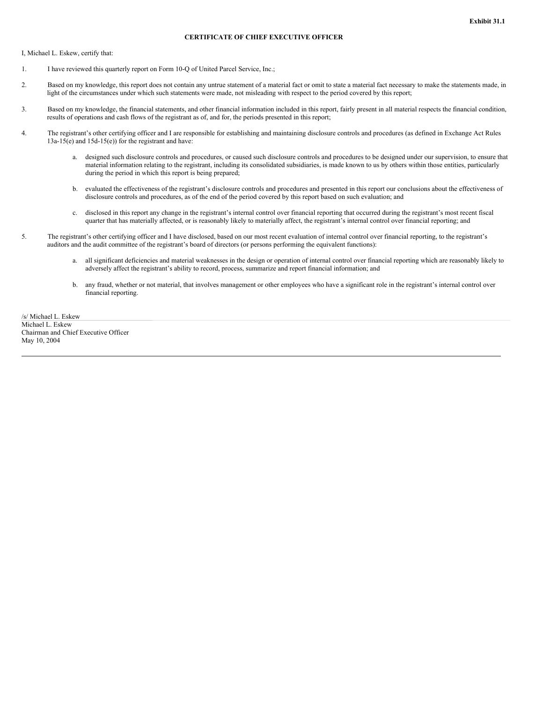# **CERTIFICATE OF CHIEF EXECUTIVE OFFICER**

I, Michael L. Eskew, certify that:

- 1. I have reviewed this quarterly report on Form 10-Q of United Parcel Service, Inc.;
- 2. Based on my knowledge, this report does not contain any untrue statement of a material fact or omit to state a material fact necessary to make the statements made, in light of the circumstances under which such statements were made, not misleading with respect to the period covered by this report;
- 3. Based on my knowledge, the financial statements, and other financial information included in this report, fairly present in all material respects the financial condition, results of operations and cash flows of the registrant as of, and for, the periods presented in this report;
- 4. The registrant's other certifying officer and I are responsible for establishing and maintaining disclosure controls and procedures (as defined in Exchange Act Rules 13a-15(e) and 15d-15(e)) for the registrant and have:
	- a. designed such disclosure controls and procedures, or caused such disclosure controls and procedures to be designed under our supervision, to ensure that material information relating to the registrant, including its consolidated subsidiaries, is made known to us by others within those entities, particularly during the period in which this report is being prepared;
	- b. evaluated the effectiveness of the registrant's disclosure controls and procedures and presented in this report our conclusions about the effectiveness of disclosure controls and procedures, as of the end of the period covered by this report based on such evaluation; and
	- c. disclosed in this report any change in the registrant's internal control over financial reporting that occurred during the registrant's most recent fiscal quarter that has materially affected, or is reasonably likely to materially affect, the registrant's internal control over financial reporting; and
- 5. The registrant's other certifying officer and I have disclosed, based on our most recent evaluation of internal control over financial reporting, to the registrant's auditors and the audit committee of the registrant's board of directors (or persons performing the equivalent functions):
	- a. all significant deficiencies and material weaknesses in the design or operation of internal control over financial reporting which are reasonably likely to adversely affect the registrant's ability to record, process, summarize and report financial information; and
	- b. any fraud, whether or not material, that involves management or other employees who have a significant role in the registrant's internal control over financial reporting.

/s/ Michael L. Eskew Michael L. Eskew Chairman and Chief Executive Officer May 10, 2004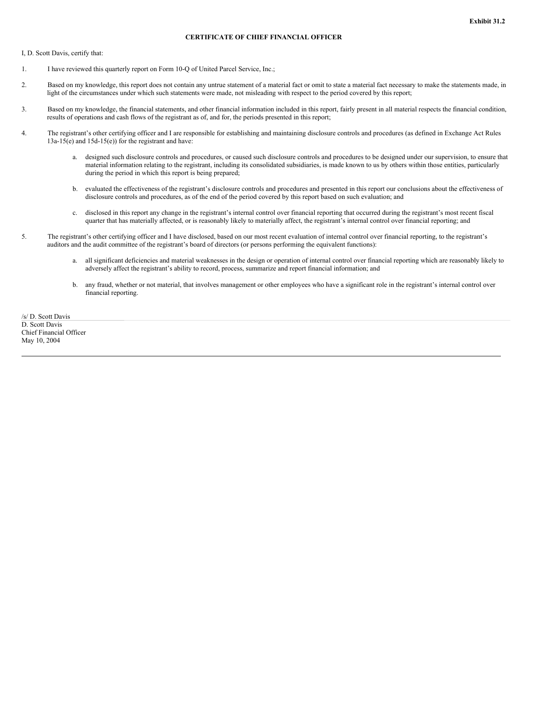# **CERTIFICATE OF CHIEF FINANCIAL OFFICER**

I, D. Scott Davis, certify that:

- 1. I have reviewed this quarterly report on Form 10-Q of United Parcel Service, Inc.;
- 2. Based on my knowledge, this report does not contain any untrue statement of a material fact or omit to state a material fact necessary to make the statements made, in light of the circumstances under which such statements were made, not misleading with respect to the period covered by this report;
- 3. Based on my knowledge, the financial statements, and other financial information included in this report, fairly present in all material respects the financial condition, results of operations and cash flows of the registrant as of, and for, the periods presented in this report;
- 4. The registrant's other certifying officer and I are responsible for establishing and maintaining disclosure controls and procedures (as defined in Exchange Act Rules 13a-15(e) and 15d-15(e)) for the registrant and have:
	- a. designed such disclosure controls and procedures, or caused such disclosure controls and procedures to be designed under our supervision, to ensure that material information relating to the registrant, including its consolidated subsidiaries, is made known to us by others within those entities, particularly during the period in which this report is being prepared;
	- b. evaluated the effectiveness of the registrant's disclosure controls and procedures and presented in this report our conclusions about the effectiveness of disclosure controls and procedures, as of the end of the period covered by this report based on such evaluation; and
	- c. disclosed in this report any change in the registrant's internal control over financial reporting that occurred during the registrant's most recent fiscal quarter that has materially affected, or is reasonably likely to materially affect, the registrant's internal control over financial reporting; and
- 5. The registrant's other certifying officer and I have disclosed, based on our most recent evaluation of internal control over financial reporting, to the registrant's auditors and the audit committee of the registrant's board of directors (or persons performing the equivalent functions):
	- a. all significant deficiencies and material weaknesses in the design or operation of internal control over financial reporting which are reasonably likely to adversely affect the registrant's ability to record, process, summarize and report financial information; and
	- b. any fraud, whether or not material, that involves management or other employees who have a significant role in the registrant's internal control over financial reporting.

/s/ D. Scott Davis D. Scott Davis Chief Financial Officer May 10, 2004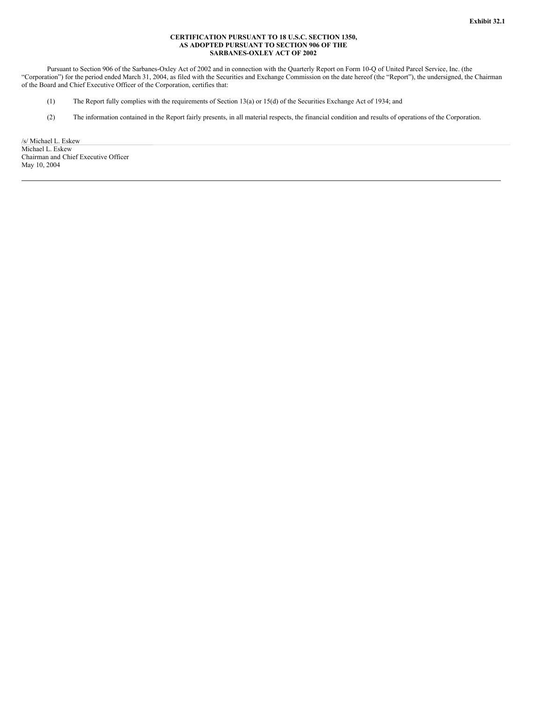## **CERTIFICATION PURSUANT TO 18 U.S.C. SECTION 1350, AS ADOPTED PURSUANT TO SECTION 906 OF THE SARBANES-OXLEY ACT OF 2002**

Pursuant to Section 906 of the Sarbanes-Oxley Act of 2002 and in connection with the Quarterly Report on Form 10-Q of United Parcel Service, Inc. (the "Corporation") for the period ended March 31, 2004, as filed with the Securities and Exchange Commission on the date hereof (the "Report"), the undersigned, the Chairman of the Board and Chief Executive Officer of the Corporation, certifies that:

- (1) The Report fully complies with the requirements of Section 13(a) or 15(d) of the Securities Exchange Act of 1934; and
- (2) The information contained in the Report fairly presents, in all material respects, the financial condition and results of operations of the Corporation.

/s/ Michael L. Eskew Michael L. Eskew Chairman and Chief Executive Officer May 10, 2004